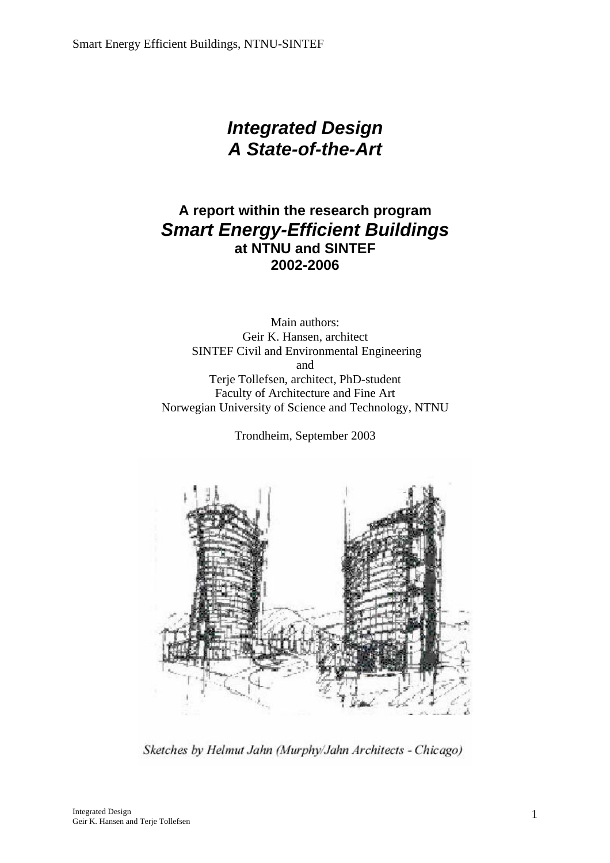# *Integrated Design A State-of-the-Art*

### **A report within the research program**  *Smart Energy-Efficient Buildings*  **at NTNU and SINTEF 2002-2006**

Main authors: Geir K. Hansen, architect SINTEF Civil and Environmental Engineering and Terje Tollefsen, architect, PhD-student Faculty of Architecture and Fine Art Norwegian University of Science and Technology, NTNU

Trondheim, September 2003



Sketches by Helmut Jahn (Murphy/Jahn Architects - Chicago)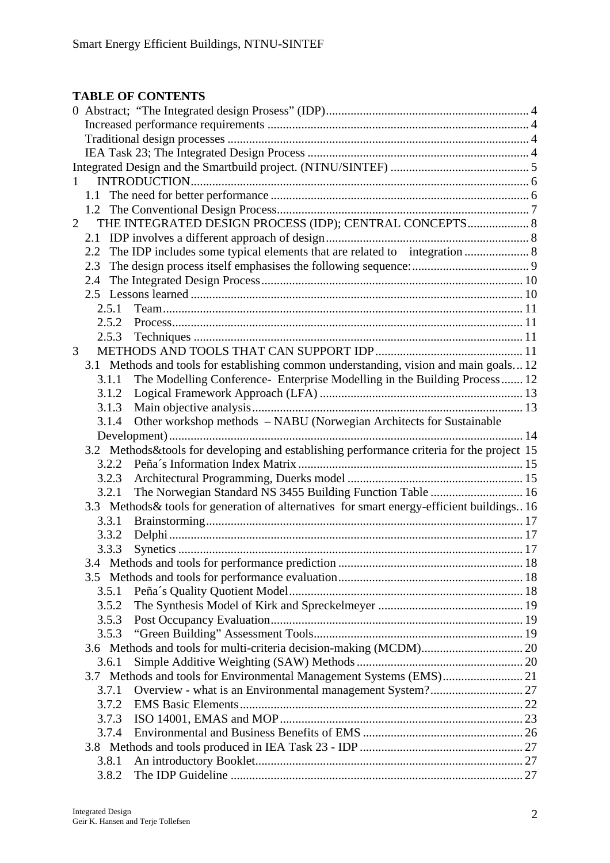### **TABLE OF CONTENTS**

| $\mathbf{1}$   |                                                         |                                                                                            |  |  |
|----------------|---------------------------------------------------------|--------------------------------------------------------------------------------------------|--|--|
|                |                                                         |                                                                                            |  |  |
|                |                                                         |                                                                                            |  |  |
| $\overline{2}$ | THE INTEGRATED DESIGN PROCESS (IDP); CENTRAL CONCEPTS 8 |                                                                                            |  |  |
|                | 2.1                                                     |                                                                                            |  |  |
|                | 2.2                                                     | The IDP includes some typical elements that are related to integration  8                  |  |  |
|                | 2.3                                                     |                                                                                            |  |  |
|                | 2.4                                                     |                                                                                            |  |  |
|                |                                                         |                                                                                            |  |  |
|                | 2.5.1                                                   |                                                                                            |  |  |
|                | 2.5.2                                                   |                                                                                            |  |  |
|                | 2.5.3                                                   |                                                                                            |  |  |
| 3              |                                                         |                                                                                            |  |  |
|                |                                                         | 3.1 Methods and tools for establishing common understanding, vision and main goals12       |  |  |
|                | 3.1.1                                                   | The Modelling Conference- Enterprise Modelling in the Building Process 12                  |  |  |
|                | 3.1.2                                                   |                                                                                            |  |  |
|                | 3.1.3                                                   |                                                                                            |  |  |
|                | 3.1.4                                                   | Other workshop methods - NABU (Norwegian Architects for Sustainable                        |  |  |
|                |                                                         |                                                                                            |  |  |
|                |                                                         | 3.2 Methods&tools for developing and establishing performance criteria for the project 15  |  |  |
|                | 3.2.2                                                   |                                                                                            |  |  |
|                | 3.2.3                                                   |                                                                                            |  |  |
|                | 3.2.1                                                   | The Norwegian Standard NS 3455 Building Function Table  16                                 |  |  |
|                |                                                         | 3.3 Methods & tools for generation of alternatives for smart energy-efficient buildings 16 |  |  |
|                | 3.3.1                                                   |                                                                                            |  |  |
|                | 3.3.2                                                   |                                                                                            |  |  |
|                | 3.3.3                                                   |                                                                                            |  |  |
|                |                                                         |                                                                                            |  |  |
|                |                                                         |                                                                                            |  |  |
|                | 3.5.1                                                   |                                                                                            |  |  |
|                | 3.5.2                                                   |                                                                                            |  |  |
|                | 3.5.3                                                   |                                                                                            |  |  |
|                | 3.5.3                                                   |                                                                                            |  |  |
|                |                                                         |                                                                                            |  |  |
|                | 3.6.1                                                   |                                                                                            |  |  |
|                |                                                         | 3.7 Methods and tools for Environmental Management Systems (EMS) 21                        |  |  |
|                | 3.7.1                                                   |                                                                                            |  |  |
|                | 3.7.2                                                   |                                                                                            |  |  |
|                |                                                         |                                                                                            |  |  |
|                | 3.7.3                                                   |                                                                                            |  |  |
| 3.7.4          |                                                         |                                                                                            |  |  |
|                |                                                         |                                                                                            |  |  |
|                | 3.8.1                                                   |                                                                                            |  |  |
|                | 3.8.2                                                   |                                                                                            |  |  |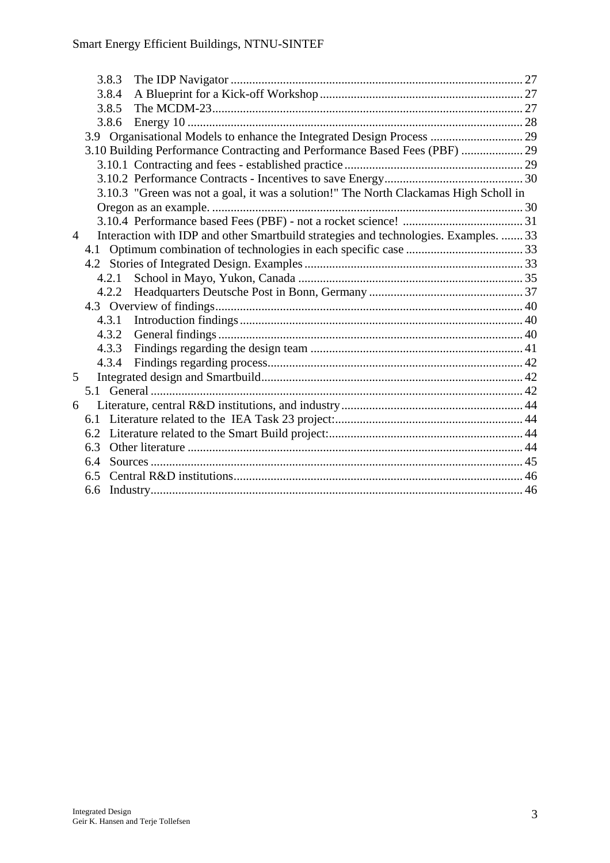|                | 3.8.3 |                                                                                      |  |
|----------------|-------|--------------------------------------------------------------------------------------|--|
|                | 3.8.4 |                                                                                      |  |
|                | 3.8.5 |                                                                                      |  |
|                | 3.8.6 |                                                                                      |  |
|                |       | 3.9 Organisational Models to enhance the Integrated Design Process  29               |  |
|                |       | 3.10 Building Performance Contracting and Performance Based Fees (PBF)  29           |  |
|                |       |                                                                                      |  |
|                |       |                                                                                      |  |
|                |       | 3.10.3 "Green was not a goal, it was a solution!" The North Clackamas High Scholl in |  |
|                |       |                                                                                      |  |
|                |       |                                                                                      |  |
| $\overline{4}$ |       | Interaction with IDP and other Smartbuild strategies and technologies. Examples.  33 |  |
|                |       |                                                                                      |  |
|                |       |                                                                                      |  |
|                | 4.2.1 |                                                                                      |  |
|                |       |                                                                                      |  |
|                |       |                                                                                      |  |
|                |       | 4.3.1                                                                                |  |
|                |       | 4.3.2                                                                                |  |
|                | 4.3.3 |                                                                                      |  |
|                | 4.3.4 |                                                                                      |  |
| 5              |       |                                                                                      |  |
|                |       |                                                                                      |  |
| 6              |       |                                                                                      |  |
|                |       |                                                                                      |  |
|                |       |                                                                                      |  |
|                | 6.3   |                                                                                      |  |
|                | 6.4   |                                                                                      |  |
|                | 6.5   |                                                                                      |  |
|                |       |                                                                                      |  |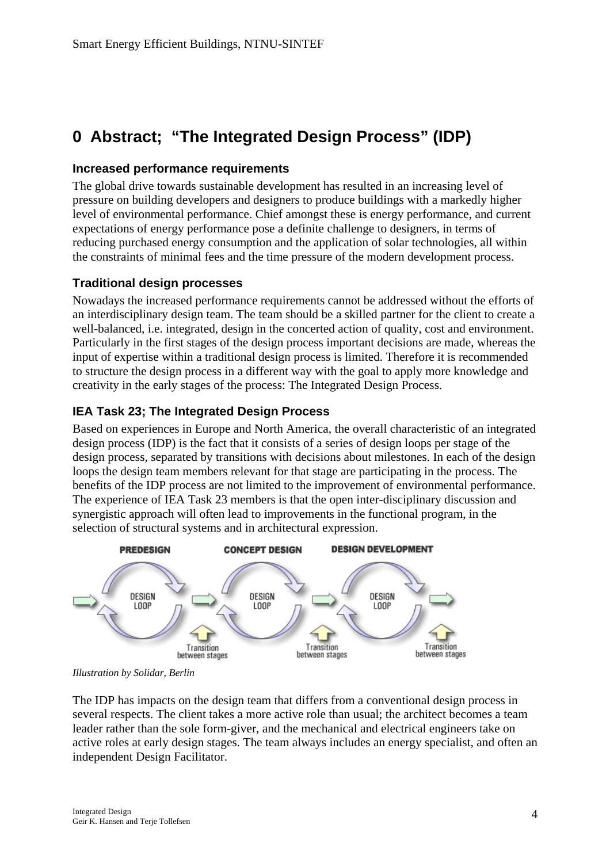# <span id="page-3-0"></span>**0 Abstract; "The Integrated Design Process" (IDP)**

#### **Increased performance requirements**

The global drive towards sustainable development has resulted in an increasing level of pressure on building developers and designers to produce buildings with a markedly higher level of environmental performance. Chief amongst these is energy performance, and current expectations of energy performance pose a definite challenge to designers, in terms of reducing purchased energy consumption and the application of solar technologies, all within the constraints of minimal fees and the time pressure of the modern development process.

#### **Traditional design processes**

Nowadays the increased performance requirements cannot be addressed without the efforts of an interdisciplinary design team. The team should be a skilled partner for the client to create a well-balanced, i.e. integrated, design in the concerted action of quality, cost and environment. Particularly in the first stages of the design process important decisions are made, whereas the input of expertise within a traditional design process is limited. Therefore it is recommended to structure the design process in a different way with the goal to apply more knowledge and creativity in the early stages of the process: The Integrated Design Process.

#### **IEA Task 23; The Integrated Design Process**

Based on experiences in Europe and North America, the overall characteristic of an integrated design process (IDP) is the fact that it consists of a series of design loops per stage of the design process, separated by transitions with decisions about milestones. In each of the design loops the design team members relevant for that stage are participating in the process. The benefits of the IDP process are not limited to the improvement of environmental performance. The experience of IEA Task 23 members is that the open inter-disciplinary discussion and synergistic approach will often lead to improvements in the functional program, in the selection of structural systems and in architectural expression.



*Illustration by Solidar, Berlin* 

The IDP has impacts on the design team that differs from a conventional design process in several respects. The client takes a more active role than usual; the architect becomes a team leader rather than the sole form-giver, and the mechanical and electrical engineers take on active roles at early design stages. The team always includes an energy specialist, and often an independent Design Facilitator.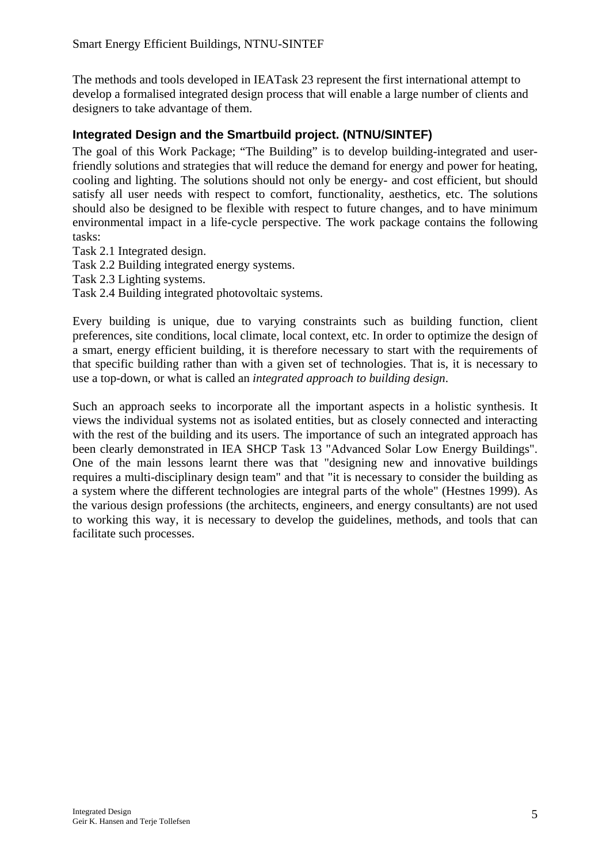<span id="page-4-0"></span>The methods and tools developed in IEATask 23 represent the first international attempt to develop a formalised integrated design process that will enable a large number of clients and designers to take advantage of them.

#### **Integrated Design and the Smartbuild project. (NTNU/SINTEF)**

The goal of this Work Package; "The Building" is to develop building-integrated and userfriendly solutions and strategies that will reduce the demand for energy and power for heating, cooling and lighting. The solutions should not only be energy- and cost efficient, but should satisfy all user needs with respect to comfort, functionality, aesthetics, etc. The solutions should also be designed to be flexible with respect to future changes, and to have minimum environmental impact in a life-cycle perspective. The work package contains the following tasks:

Task 2.1 Integrated design.

Task 2.2 Building integrated energy systems.

Task 2.3 Lighting systems.

Task 2.4 Building integrated photovoltaic systems.

Every building is unique, due to varying constraints such as building function, client preferences, site conditions, local climate, local context, etc. In order to optimize the design of a smart, energy efficient building, it is therefore necessary to start with the requirements of that specific building rather than with a given set of technologies. That is, it is necessary to use a top-down, or what is called an *integrated approach to building design*.

Such an approach seeks to incorporate all the important aspects in a holistic synthesis. It views the individual systems not as isolated entities, but as closely connected and interacting with the rest of the building and its users. The importance of such an integrated approach has been clearly demonstrated in IEA SHCP Task 13 "Advanced Solar Low Energy Buildings". One of the main lessons learnt there was that "designing new and innovative buildings requires a multi-disciplinary design team" and that "it is necessary to consider the building as a system where the different technologies are integral parts of the whole" (Hestnes 1999). As the various design professions (the architects, engineers, and energy consultants) are not used to working this way, it is necessary to develop the guidelines, methods, and tools that can facilitate such processes.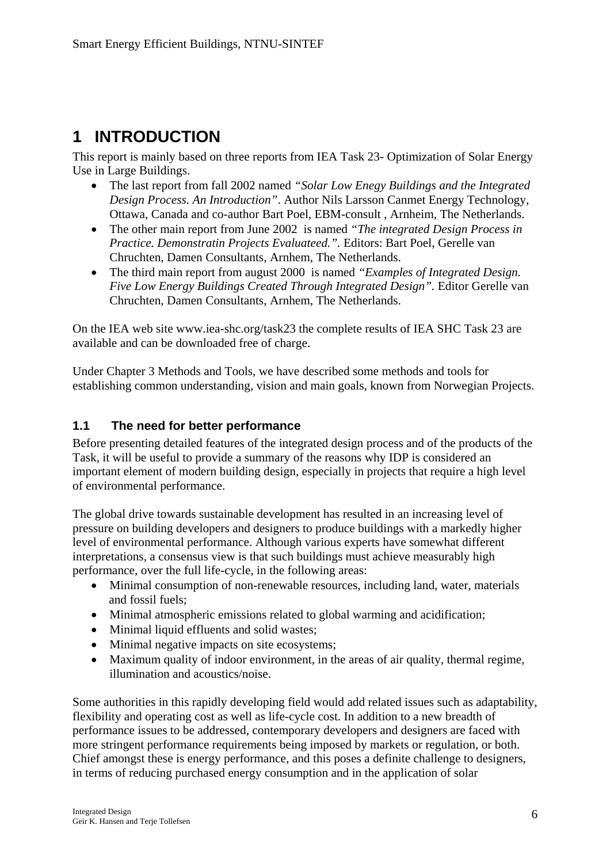# <span id="page-5-0"></span>**1 INTRODUCTION**

This report is mainly based on three reports from IEA Task 23- Optimization of Solar Energy Use in Large Buildings.

- The last report from fall 2002 named *"Solar Low Enegy Buildings and the Integrated Design Process. An Introduction"*. Author Nils Larsson Canmet Energy Technology, Ottawa, Canada and co-author Bart Poel, EBM-consult , Arnheim, The Netherlands.
- The other main report from June 2002 is named *"The integrated Design Process in Practice. Demonstratin Projects Evaluateed.".* Editors: Bart Poel, Gerelle van Chruchten, Damen Consultants, Arnhem, The Netherlands.
- The third main report from august 2000 is named *"Examples of Integrated Design. Five Low Energy Buildings Created Through Integrated Design".* Editor Gerelle van Chruchten, Damen Consultants, Arnhem, The Netherlands.

On the IEA web site www.iea-shc.org/task23 the complete results of IEA SHC Task 23 are available and can be downloaded free of charge.

Under Chapter 3 Methods and Tools, we have described some methods and tools for establishing common understanding, vision and main goals, known from Norwegian Projects.

### **1.1 The need for better performance**

Before presenting detailed features of the integrated design process and of the products of the Task, it will be useful to provide a summary of the reasons why IDP is considered an important element of modern building design, especially in projects that require a high level of environmental performance.

The global drive towards sustainable development has resulted in an increasing level of pressure on building developers and designers to produce buildings with a markedly higher level of environmental performance. Although various experts have somewhat different interpretations, a consensus view is that such buildings must achieve measurably high performance, over the full life-cycle, in the following areas:

- Minimal consumption of non-renewable resources, including land, water, materials and fossil fuels;
- Minimal atmospheric emissions related to global warming and acidification;
- Minimal liquid effluents and solid wastes;
- Minimal negative impacts on site ecosystems:
- Maximum quality of indoor environment, in the areas of air quality, thermal regime, illumination and acoustics/noise.

Some authorities in this rapidly developing field would add related issues such as adaptability, flexibility and operating cost as well as life-cycle cost. In addition to a new breadth of performance issues to be addressed, contemporary developers and designers are faced with more stringent performance requirements being imposed by markets or regulation, or both. Chief amongst these is energy performance, and this poses a definite challenge to designers, in terms of reducing purchased energy consumption and in the application of solar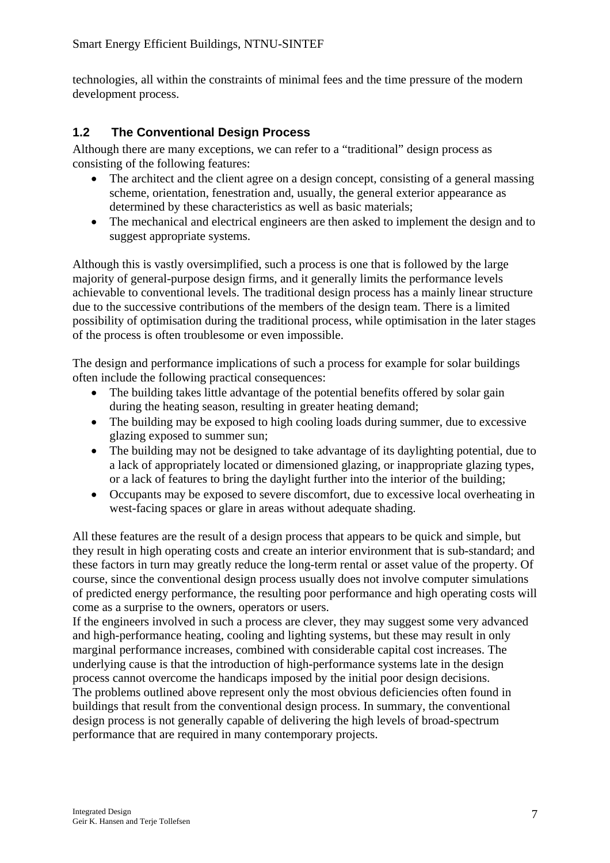<span id="page-6-0"></span>technologies, all within the constraints of minimal fees and the time pressure of the modern development process.

#### **1.2 The Conventional Design Process**

Although there are many exceptions, we can refer to a "traditional" design process as consisting of the following features:

- The architect and the client agree on a design concept, consisting of a general massing scheme, orientation, fenestration and, usually, the general exterior appearance as determined by these characteristics as well as basic materials;
- The mechanical and electrical engineers are then asked to implement the design and to suggest appropriate systems.

Although this is vastly oversimplified, such a process is one that is followed by the large majority of general-purpose design firms, and it generally limits the performance levels achievable to conventional levels. The traditional design process has a mainly linear structure due to the successive contributions of the members of the design team. There is a limited possibility of optimisation during the traditional process, while optimisation in the later stages of the process is often troublesome or even impossible.

The design and performance implications of such a process for example for solar buildings often include the following practical consequences:

- The building takes little advantage of the potential benefits offered by solar gain during the heating season, resulting in greater heating demand;
- The building may be exposed to high cooling loads during summer, due to excessive glazing exposed to summer sun;
- The building may not be designed to take advantage of its daylighting potential, due to a lack of appropriately located or dimensioned glazing, or inappropriate glazing types, or a lack of features to bring the daylight further into the interior of the building;
- Occupants may be exposed to severe discomfort, due to excessive local overheating in west-facing spaces or glare in areas without adequate shading.

All these features are the result of a design process that appears to be quick and simple, but they result in high operating costs and create an interior environment that is sub-standard; and these factors in turn may greatly reduce the long-term rental or asset value of the property. Of course, since the conventional design process usually does not involve computer simulations of predicted energy performance, the resulting poor performance and high operating costs will come as a surprise to the owners, operators or users.

If the engineers involved in such a process are clever, they may suggest some very advanced and high-performance heating, cooling and lighting systems, but these may result in only marginal performance increases, combined with considerable capital cost increases. The underlying cause is that the introduction of high-performance systems late in the design process cannot overcome the handicaps imposed by the initial poor design decisions. The problems outlined above represent only the most obvious deficiencies often found in buildings that result from the conventional design process. In summary, the conventional design process is not generally capable of delivering the high levels of broad-spectrum performance that are required in many contemporary projects.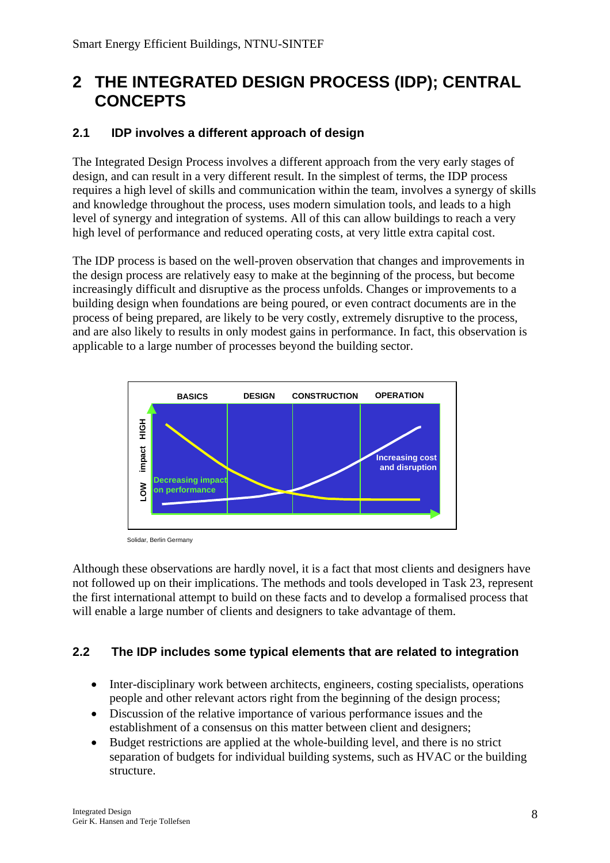# <span id="page-7-0"></span>**2 THE INTEGRATED DESIGN PROCESS (IDP); CENTRAL CONCEPTS**

### **2.1 IDP involves a different approach of design**

The Integrated Design Process involves a different approach from the very early stages of design, and can result in a very different result. In the simplest of terms, the IDP process requires a high level of skills and communication within the team, involves a synergy of skills and knowledge throughout the process, uses modern simulation tools, and leads to a high level of synergy and integration of systems. All of this can allow buildings to reach a very high level of performance and reduced operating costs, at very little extra capital cost.

The IDP process is based on the well-proven observation that changes and improvements in the design process are relatively easy to make at the beginning of the process, but become increasingly difficult and disruptive as the process unfolds. Changes or improvements to a building design when foundations are being poured, or even contract documents are in the process of being prepared, are likely to be very costly, extremely disruptive to the process, and are also likely to results in only modest gains in performance. In fact, this observation is applicable to a large number of processes beyond the building sector.



Solidar, Berlin Germany

Although these observations are hardly novel, it is a fact that most clients and designers have not followed up on their implications. The methods and tools developed in Task 23, represent the first international attempt to build on these facts and to develop a formalised process that will enable a large number of clients and designers to take advantage of them.

#### **2.2 The IDP includes some typical elements that are related to integration**

- Inter-disciplinary work between architects, engineers, costing specialists, operations people and other relevant actors right from the beginning of the design process;
- Discussion of the relative importance of various performance issues and the establishment of a consensus on this matter between client and designers;
- Budget restrictions are applied at the whole-building level, and there is no strict separation of budgets for individual building systems, such as HVAC or the building structure.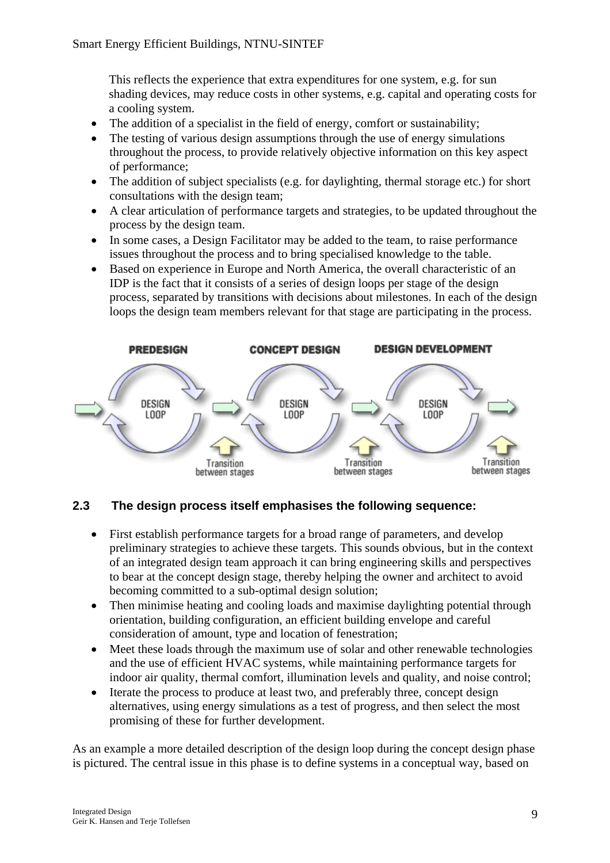<span id="page-8-0"></span>This reflects the experience that extra expenditures for one system, e.g. for sun shading devices, may reduce costs in other systems, e.g. capital and operating costs for a cooling system.

- The addition of a specialist in the field of energy, comfort or sustainability;
- The testing of various design assumptions through the use of energy simulations throughout the process, to provide relatively objective information on this key aspect of performance;
- The addition of subject specialists (e.g. for daylighting, thermal storage etc.) for short consultations with the design team;
- A clear articulation of performance targets and strategies, to be updated throughout the process by the design team.
- In some cases, a Design Facilitator may be added to the team, to raise performance issues throughout the process and to bring specialised knowledge to the table.
- Based on experience in Europe and North America, the overall characteristic of an IDP is the fact that it consists of a series of design loops per stage of the design process, separated by transitions with decisions about milestones. In each of the design loops the design team members relevant for that stage are participating in the process.



#### **2.3 The design process itself emphasises the following sequence:**

- First establish performance targets for a broad range of parameters, and develop preliminary strategies to achieve these targets. This sounds obvious, but in the context of an integrated design team approach it can bring engineering skills and perspectives to bear at the concept design stage, thereby helping the owner and architect to avoid becoming committed to a sub-optimal design solution;
- Then minimise heating and cooling loads and maximise daylighting potential through orientation, building configuration, an efficient building envelope and careful consideration of amount, type and location of fenestration;
- Meet these loads through the maximum use of solar and other renewable technologies and the use of efficient HVAC systems, while maintaining performance targets for indoor air quality, thermal comfort, illumination levels and quality, and noise control;
- Iterate the process to produce at least two, and preferably three, concept design alternatives, using energy simulations as a test of progress, and then select the most promising of these for further development.

As an example a more detailed description of the design loop during the concept design phase is pictured. The central issue in this phase is to define systems in a conceptual way, based on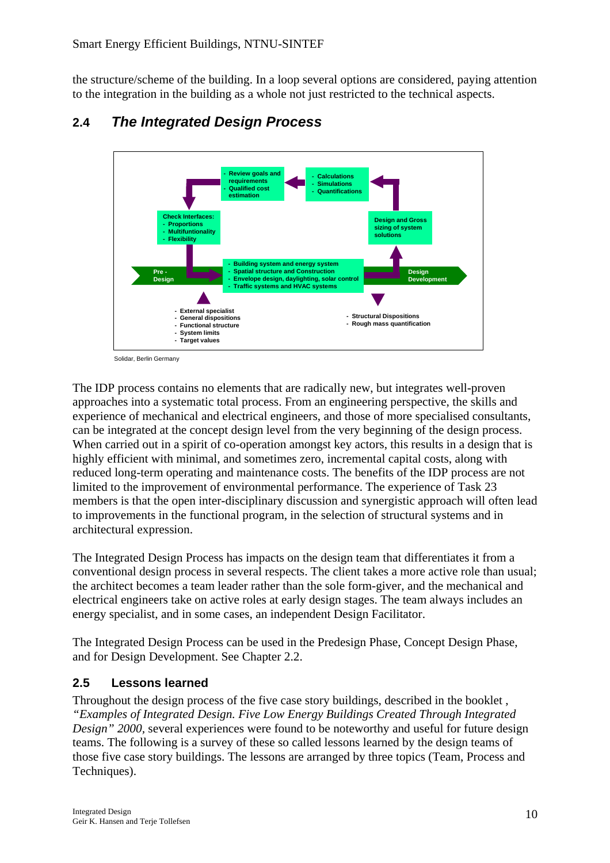<span id="page-9-0"></span>the structure/scheme of the building. In a loop several options are considered, paying attention to the integration in the building as a whole not just restricted to the technical aspects.



### **2.4** *The Integrated Design Process*

The IDP process contains no elements that are radically new, but integrates well-proven approaches into a systematic total process. From an engineering perspective, the skills and experience of mechanical and electrical engineers, and those of more specialised consultants, can be integrated at the concept design level from the very beginning of the design process. When carried out in a spirit of co-operation amongst key actors, this results in a design that is highly efficient with minimal, and sometimes zero, incremental capital costs, along with reduced long-term operating and maintenance costs. The benefits of the IDP process are not limited to the improvement of environmental performance. The experience of Task 23 members is that the open inter-disciplinary discussion and synergistic approach will often lead to improvements in the functional program, in the selection of structural systems and in architectural expression.

The Integrated Design Process has impacts on the design team that differentiates it from a conventional design process in several respects. The client takes a more active role than usual; the architect becomes a team leader rather than the sole form-giver, and the mechanical and electrical engineers take on active roles at early design stages. The team always includes an energy specialist, and in some cases, an independent Design Facilitator.

The Integrated Design Process can be used in the Predesign Phase, Concept Design Phase, and for Design Development. See Chapter 2.2.

### **2.5 Lessons learned**

Throughout the design process of the five case story buildings, described in the booklet , *"Examples of Integrated Design. Five Low Energy Buildings Created Through Integrated Design" 2000,* several experiences were found to be noteworthy and useful for future design teams. The following is a survey of these so called lessons learned by the design teams of those five case story buildings. The lessons are arranged by three topics (Team, Process and Techniques).

Solidar, Berlin Germany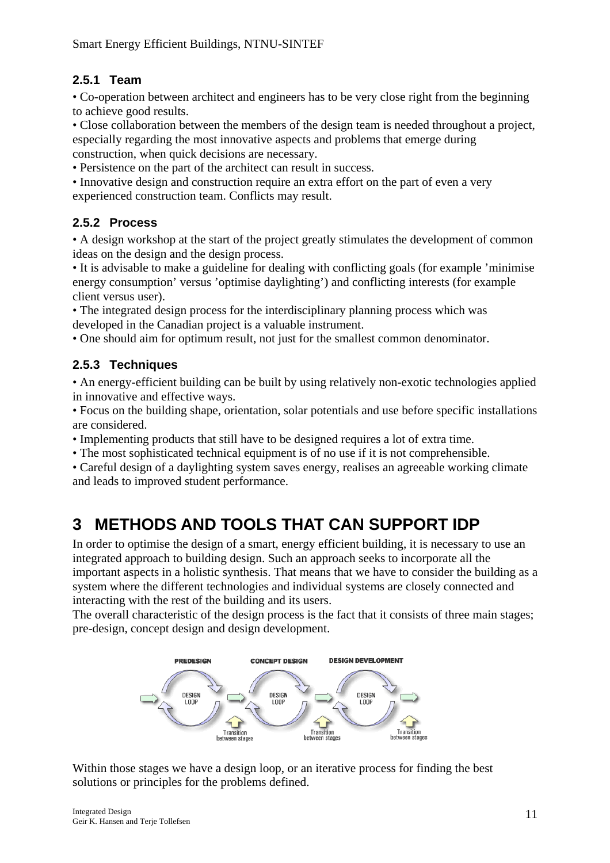### <span id="page-10-0"></span>**2.5.1 Team**

• Co-operation between architect and engineers has to be very close right from the beginning to achieve good results.

• Close collaboration between the members of the design team is needed throughout a project, especially regarding the most innovative aspects and problems that emerge during construction, when quick decisions are necessary.

• Persistence on the part of the architect can result in success.

• Innovative design and construction require an extra effort on the part of even a very experienced construction team. Conflicts may result.

### **2.5.2 Process**

• A design workshop at the start of the project greatly stimulates the development of common ideas on the design and the design process.

• It is advisable to make a guideline for dealing with conflicting goals (for example 'minimise energy consumption' versus 'optimise daylighting') and conflicting interests (for example client versus user).

• The integrated design process for the interdisciplinary planning process which was developed in the Canadian project is a valuable instrument.

• One should aim for optimum result, not just for the smallest common denominator.

### **2.5.3 Techniques**

• An energy-efficient building can be built by using relatively non-exotic technologies applied in innovative and effective ways.

• Focus on the building shape, orientation, solar potentials and use before specific installations are considered.

• Implementing products that still have to be designed requires a lot of extra time.

• The most sophisticated technical equipment is of no use if it is not comprehensible.

• Careful design of a daylighting system saves energy, realises an agreeable working climate and leads to improved student performance.

# **3 METHODS AND TOOLS THAT CAN SUPPORT IDP**

In order to optimise the design of a smart, energy efficient building, it is necessary to use an integrated approach to building design. Such an approach seeks to incorporate all the important aspects in a holistic synthesis. That means that we have to consider the building as a system where the different technologies and individual systems are closely connected and interacting with the rest of the building and its users.

The overall characteristic of the design process is the fact that it consists of three main stages; pre-design, concept design and design development.



Within those stages we have a design loop, or an iterative process for finding the best solutions or principles for the problems defined.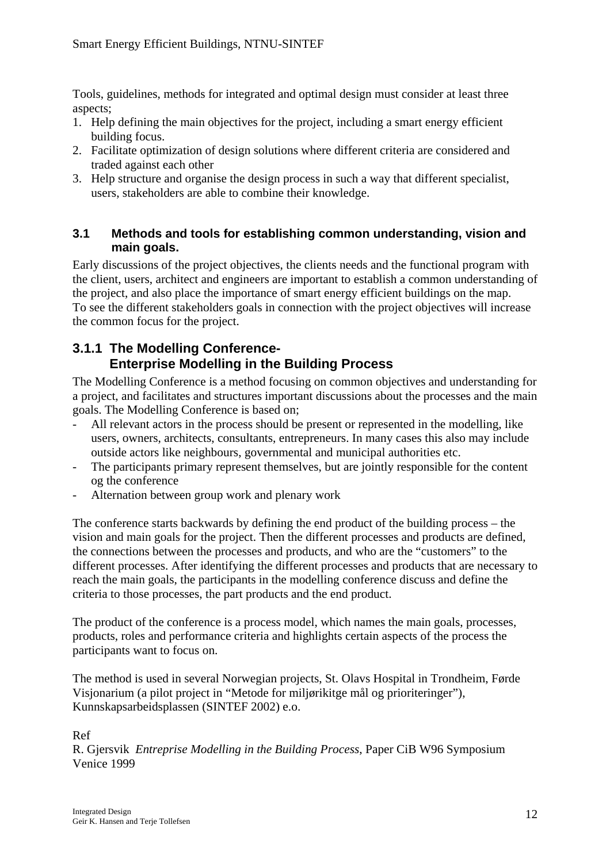<span id="page-11-0"></span>Tools, guidelines, methods for integrated and optimal design must consider at least three aspects;

- 1. Help defining the main objectives for the project, including a smart energy efficient building focus.
- 2. Facilitate optimization of design solutions where different criteria are considered and traded against each other
- 3. Help structure and organise the design process in such a way that different specialist, users, stakeholders are able to combine their knowledge.

#### **3.1 Methods and tools for establishing common understanding, vision and main goals.**

Early discussions of the project objectives, the clients needs and the functional program with the client, users, architect and engineers are important to establish a common understanding of the project, and also place the importance of smart energy efficient buildings on the map. To see the different stakeholders goals in connection with the project objectives will increase the common focus for the project.

### **3.1.1 The Modelling Conference-Enterprise Modelling in the Building Process**

The Modelling Conference is a method focusing on common objectives and understanding for a project, and facilitates and structures important discussions about the processes and the main goals. The Modelling Conference is based on;

- All relevant actors in the process should be present or represented in the modelling, like users, owners, architects, consultants, entrepreneurs. In many cases this also may include outside actors like neighbours, governmental and municipal authorities etc.
- The participants primary represent themselves, but are jointly responsible for the content og the conference
- Alternation between group work and plenary work

The conference starts backwards by defining the end product of the building process – the vision and main goals for the project. Then the different processes and products are defined, the connections between the processes and products, and who are the "customers" to the different processes. After identifying the different processes and products that are necessary to reach the main goals, the participants in the modelling conference discuss and define the criteria to those processes, the part products and the end product.

The product of the conference is a process model, which names the main goals, processes, products, roles and performance criteria and highlights certain aspects of the process the participants want to focus on.

The method is used in several Norwegian projects, St. Olavs Hospital in Trondheim, Førde Visjonarium (a pilot project in "Metode for miljørikitge mål og prioriteringer"), Kunnskapsarbeidsplassen (SINTEF 2002) e.o.

Ref

R. Gjersvik *Entreprise Modelling in the Building Process*, Paper CiB W96 Symposium Venice 1999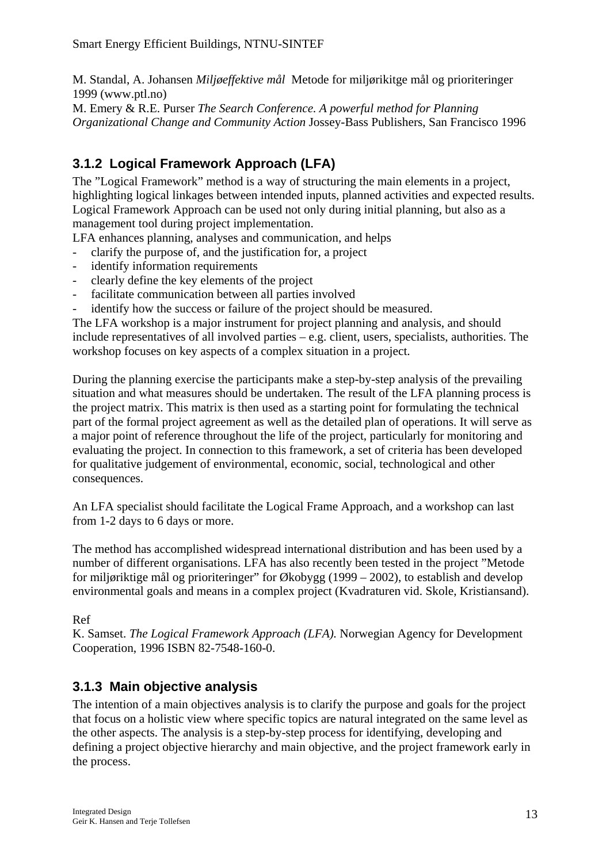<span id="page-12-0"></span>M. Standal, A. Johansen *Miljøeffektive mål* Metode for miljørikitge mål og prioriteringer 1999 (www.ptl.no)

M. Emery & R.E. Purser *The Search Conference. A powerful method for Planning Organizational Change and Community Action* Jossey-Bass Publishers, San Francisco 1996

### **3.1.2 Logical Framework Approach (LFA)**

The "Logical Framework" method is a way of structuring the main elements in a project, highlighting logical linkages between intended inputs, planned activities and expected results. Logical Framework Approach can be used not only during initial planning, but also as a management tool during project implementation.

LFA enhances planning, analyses and communication, and helps

- clarify the purpose of, and the justification for, a project
- identify information requirements
- clearly define the key elements of the project
- facilitate communication between all parties involved
- identify how the success or failure of the project should be measured.

The LFA workshop is a major instrument for project planning and analysis, and should include representatives of all involved parties – e.g. client, users, specialists, authorities. The workshop focuses on key aspects of a complex situation in a project.

During the planning exercise the participants make a step-by-step analysis of the prevailing situation and what measures should be undertaken. The result of the LFA planning process is the project matrix. This matrix is then used as a starting point for formulating the technical part of the formal project agreement as well as the detailed plan of operations. It will serve as a major point of reference throughout the life of the project, particularly for monitoring and evaluating the project. In connection to this framework, a set of criteria has been developed for qualitative judgement of environmental, economic, social, technological and other consequences.

An LFA specialist should facilitate the Logical Frame Approach, and a workshop can last from 1-2 days to 6 days or more.

The method has accomplished widespread international distribution and has been used by a number of different organisations. LFA has also recently been tested in the project "Metode for miljøriktige mål og prioriteringer" for Økobygg (1999 – 2002), to establish and develop environmental goals and means in a complex project (Kvadraturen vid. Skole, Kristiansand).

Ref

K. Samset. *The Logical Framework Approach (LFA).* Norwegian Agency for Development Cooperation, 1996 ISBN 82-7548-160-0.

### **3.1.3 Main objective analysis**

The intention of a main objectives analysis is to clarify the purpose and goals for the project that focus on a holistic view where specific topics are natural integrated on the same level as the other aspects. The analysis is a step-by-step process for identifying, developing and defining a project objective hierarchy and main objective, and the project framework early in the process.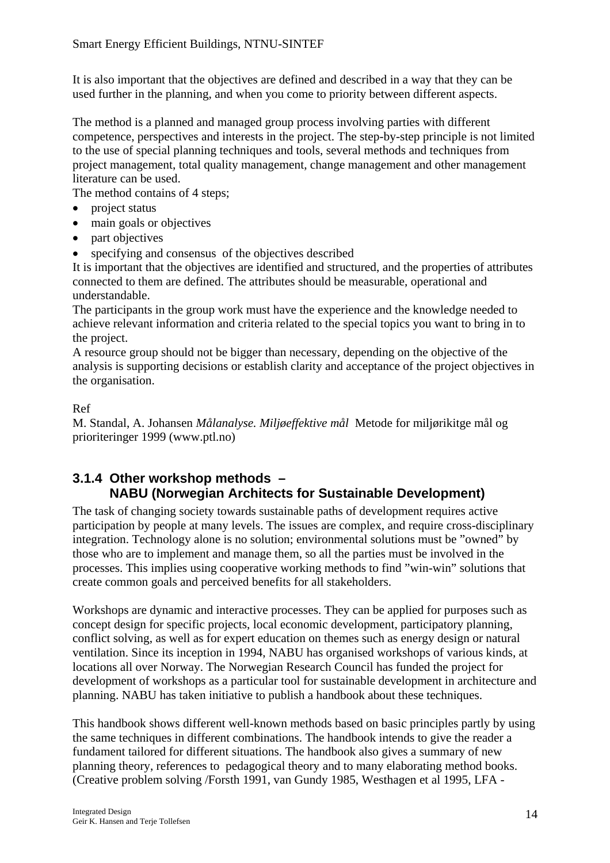<span id="page-13-0"></span>It is also important that the objectives are defined and described in a way that they can be used further in the planning, and when you come to priority between different aspects.

The method is a planned and managed group process involving parties with different competence, perspectives and interests in the project. The step-by-step principle is not limited to the use of special planning techniques and tools, several methods and techniques from project management, total quality management, change management and other management literature can be used.

The method contains of 4 steps:

- project status
- main goals or objectives
- part objectives
- specifying and consensus of the objectives described

It is important that the objectives are identified and structured, and the properties of attributes connected to them are defined. The attributes should be measurable, operational and understandable.

The participants in the group work must have the experience and the knowledge needed to achieve relevant information and criteria related to the special topics you want to bring in to the project.

A resource group should not be bigger than necessary, depending on the objective of the analysis is supporting decisions or establish clarity and acceptance of the project objectives in the organisation.

#### Ref

M. Standal, A. Johansen *Målanalyse. Miljøeffektive mål* Metode for miljørikitge mål og prioriteringer 1999 (www.ptl.no)

### **3.1.4 Other workshop methods – NABU (Norwegian Architects for Sustainable Development)**

The task of changing society towards sustainable paths of development requires active participation by people at many levels. The issues are complex, and require cross-disciplinary integration. Technology alone is no solution; environmental solutions must be "owned" by those who are to implement and manage them, so all the parties must be involved in the processes. This implies using cooperative working methods to find "win-win" solutions that create common goals and perceived benefits for all stakeholders.

Workshops are dynamic and interactive processes. They can be applied for purposes such as concept design for specific projects, local economic development, participatory planning, conflict solving, as well as for expert education on themes such as energy design or natural ventilation. Since its inception in 1994, NABU has organised workshops of various kinds, at locations all over Norway. The Norwegian Research Council has funded the project for development of workshops as a particular tool for sustainable development in architecture and planning. NABU has taken initiative to publish a handbook about these techniques.

This handbook shows different well-known methods based on basic principles partly by using the same techniques in different combinations. The handbook intends to give the reader a fundament tailored for different situations. The handbook also gives a summary of new planning theory, references to pedagogical theory and to many elaborating method books. (Creative problem solving /Forsth 1991, van Gundy 1985, Westhagen et al 1995, LFA -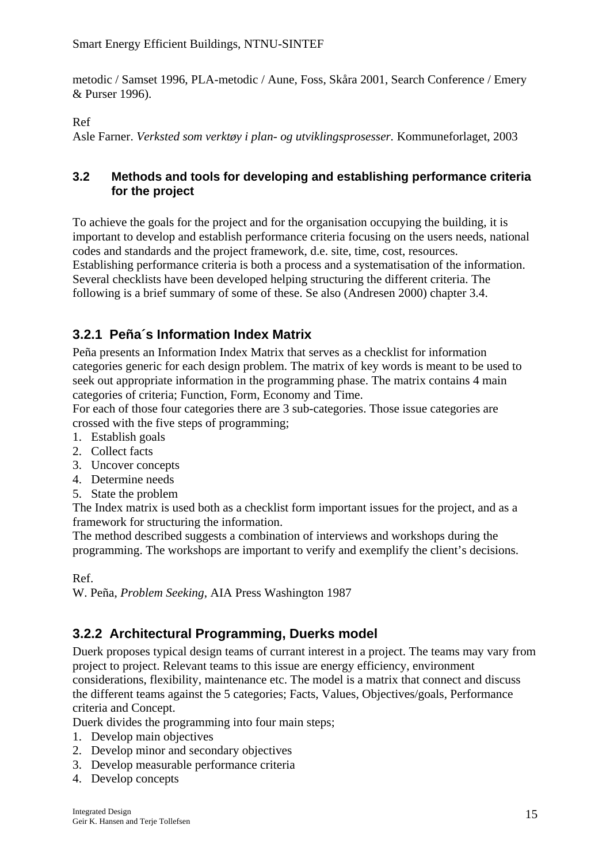<span id="page-14-0"></span>metodic / Samset 1996, PLA-metodic / Aune, Foss, Skåra 2001, Search Conference / Emery & Purser 1996).

Ref

Asle Farner. *Verksted som verktøy i plan- og utviklingsprosesser.* Kommuneforlaget, 2003

#### **3.2 Methods and tools for developing and establishing performance criteria for the project**

To achieve the goals for the project and for the organisation occupying the building, it is important to develop and establish performance criteria focusing on the users needs, national codes and standards and the project framework, d.e. site, time, cost, resources. Establishing performance criteria is both a process and a systematisation of the information. Several checklists have been developed helping structuring the different criteria. The following is a brief summary of some of these. Se also (Andresen 2000) chapter 3.4.

### **3.2.1 Peña´s Information Index Matrix**

Peña presents an Information Index Matrix that serves as a checklist for information categories generic for each design problem. The matrix of key words is meant to be used to seek out appropriate information in the programming phase. The matrix contains 4 main categories of criteria; Function, Form, Economy and Time.

For each of those four categories there are 3 sub-categories. Those issue categories are crossed with the five steps of programming;

- 1. Establish goals
- 2. Collect facts
- 3. Uncover concepts
- 4. Determine needs
- 5. State the problem

The Index matrix is used both as a checklist form important issues for the project, and as a framework for structuring the information.

The method described suggests a combination of interviews and workshops during the programming. The workshops are important to verify and exemplify the client's decisions.

Ref.

W. Peña, *Problem Seeking*, AIA Press Washington 1987

### **3.2.2 Architectural Programming, Duerks model**

Duerk proposes typical design teams of currant interest in a project. The teams may vary from project to project. Relevant teams to this issue are energy efficiency, environment considerations, flexibility, maintenance etc. The model is a matrix that connect and discuss the different teams against the 5 categories; Facts, Values, Objectives/goals, Performance criteria and Concept.

Duerk divides the programming into four main steps;

- 1. Develop main objectives
- 2. Develop minor and secondary objectives
- 3. Develop measurable performance criteria
- 4. Develop concepts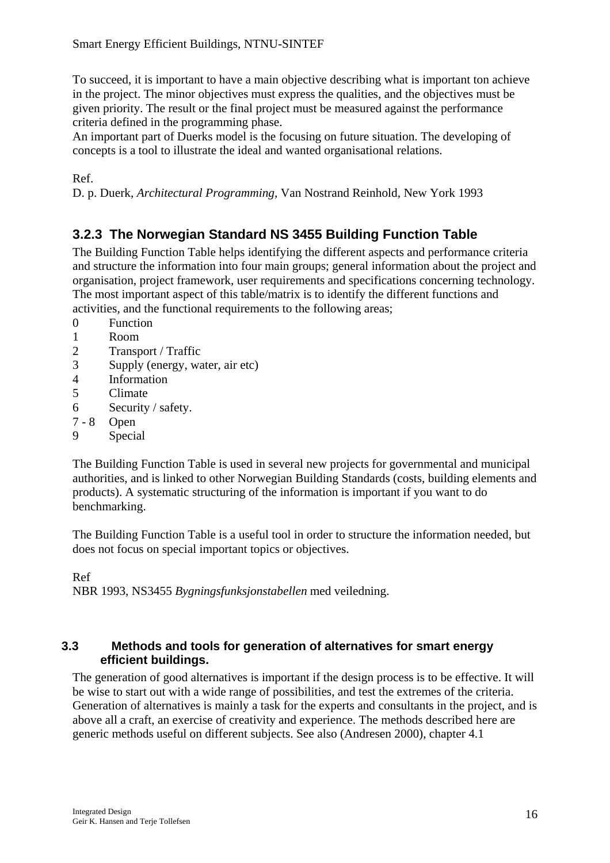<span id="page-15-0"></span>To succeed, it is important to have a main objective describing what is important ton achieve in the project. The minor objectives must express the qualities, and the objectives must be given priority. The result or the final project must be measured against the performance criteria defined in the programming phase.

An important part of Duerks model is the focusing on future situation. The developing of concepts is a tool to illustrate the ideal and wanted organisational relations.

Ref.

D. p. Duerk, *Architectural Programming*, Van Nostrand Reinhold, New York 1993

### **3.2.3 The Norwegian Standard NS 3455 Building Function Table**

The Building Function Table helps identifying the different aspects and performance criteria and structure the information into four main groups; general information about the project and organisation, project framework, user requirements and specifications concerning technology. The most important aspect of this table/matrix is to identify the different functions and activities, and the functional requirements to the following areas;

- 0 Function
- 1 Room
- 2 Transport / Traffic
- 3 Supply (energy, water, air etc)
- 4 Information
- 5 Climate
- 6 Security / safety.
- 7 8 Open
- 9 Special

The Building Function Table is used in several new projects for governmental and municipal authorities, and is linked to other Norwegian Building Standards (costs, building elements and products). A systematic structuring of the information is important if you want to do benchmarking.

The Building Function Table is a useful tool in order to structure the information needed, but does not focus on special important topics or objectives.

Ref

NBR 1993, NS3455 *Bygningsfunksjonstabellen* med veiledning.

#### **3.3 Methods and tools for generation of alternatives for smart energy efficient buildings.**

The generation of good alternatives is important if the design process is to be effective. It will be wise to start out with a wide range of possibilities, and test the extremes of the criteria. Generation of alternatives is mainly a task for the experts and consultants in the project, and is above all a craft, an exercise of creativity and experience. The methods described here are generic methods useful on different subjects. See also (Andresen 2000), chapter 4.1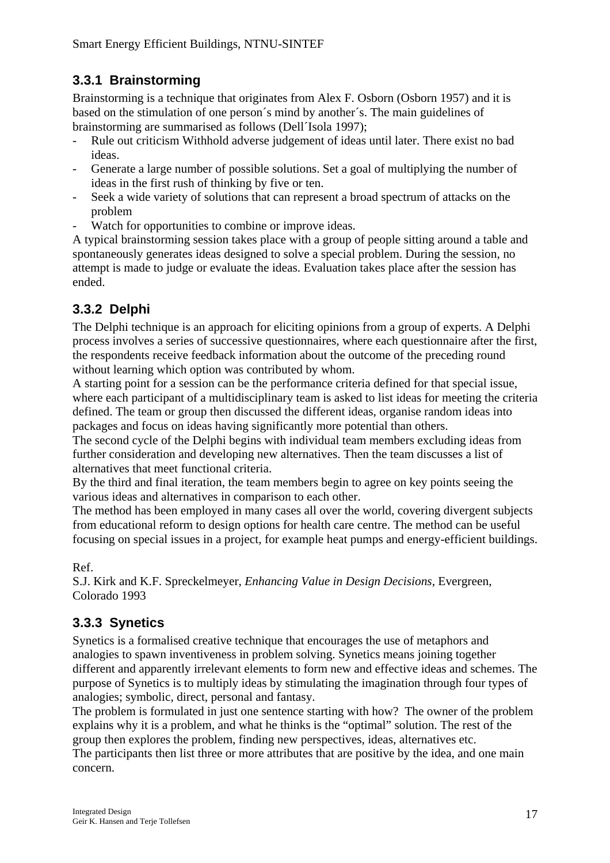### <span id="page-16-0"></span>**3.3.1 Brainstorming**

Brainstorming is a technique that originates from Alex F. Osborn (Osborn 1957) and it is based on the stimulation of one person´s mind by another´s. The main guidelines of brainstorming are summarised as follows (Dell´Isola 1997);

- Rule out criticism Withhold adverse judgement of ideas until later. There exist no bad ideas.
- Generate a large number of possible solutions. Set a goal of multiplying the number of ideas in the first rush of thinking by five or ten.
- Seek a wide variety of solutions that can represent a broad spectrum of attacks on the problem
- Watch for opportunities to combine or improve ideas.

A typical brainstorming session takes place with a group of people sitting around a table and spontaneously generates ideas designed to solve a special problem. During the session, no attempt is made to judge or evaluate the ideas. Evaluation takes place after the session has ended.

### **3.3.2 Delphi**

The Delphi technique is an approach for eliciting opinions from a group of experts. A Delphi process involves a series of successive questionnaires, where each questionnaire after the first, the respondents receive feedback information about the outcome of the preceding round without learning which option was contributed by whom.

A starting point for a session can be the performance criteria defined for that special issue, where each participant of a multidisciplinary team is asked to list ideas for meeting the criteria defined. The team or group then discussed the different ideas, organise random ideas into packages and focus on ideas having significantly more potential than others.

The second cycle of the Delphi begins with individual team members excluding ideas from further consideration and developing new alternatives. Then the team discusses a list of alternatives that meet functional criteria.

By the third and final iteration, the team members begin to agree on key points seeing the various ideas and alternatives in comparison to each other.

The method has been employed in many cases all over the world, covering divergent subjects from educational reform to design options for health care centre. The method can be useful focusing on special issues in a project, for example heat pumps and energy-efficient buildings.

Ref.

S.J. Kirk and K.F. Spreckelmeyer, *Enhancing Value in Design Decisions*, Evergreen, Colorado 1993

### **3.3.3 Synetics**

Synetics is a formalised creative technique that encourages the use of metaphors and analogies to spawn inventiveness in problem solving. Synetics means joining together different and apparently irrelevant elements to form new and effective ideas and schemes. The purpose of Synetics is to multiply ideas by stimulating the imagination through four types of analogies; symbolic, direct, personal and fantasy.

The problem is formulated in just one sentence starting with how? The owner of the problem explains why it is a problem, and what he thinks is the "optimal" solution. The rest of the group then explores the problem, finding new perspectives, ideas, alternatives etc. The participants then list three or more attributes that are positive by the idea, and one main concern.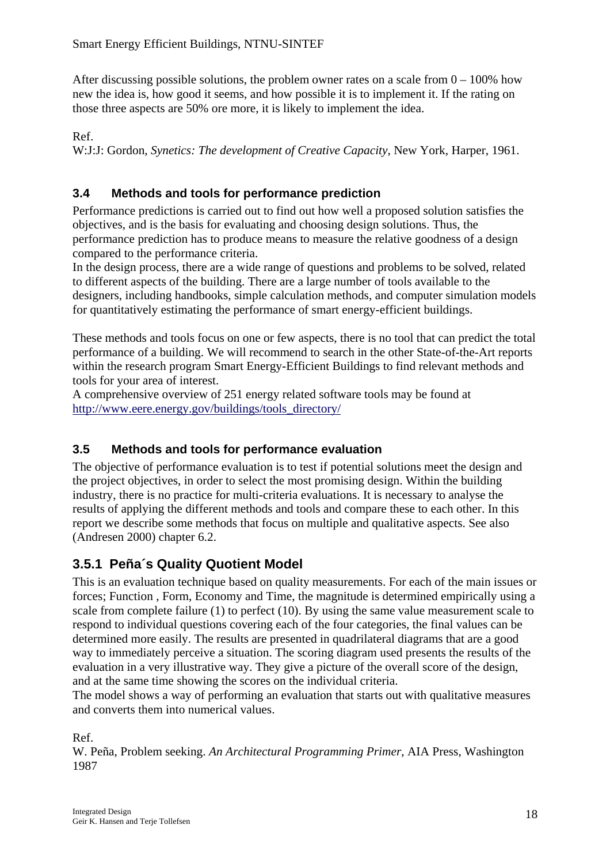<span id="page-17-0"></span>After discussing possible solutions, the problem owner rates on a scale from  $0 - 100\%$  how new the idea is, how good it seems, and how possible it is to implement it. If the rating on those three aspects are 50% ore more, it is likely to implement the idea.

Ref.

W:J:J: Gordon, *Synetics: The development of Creative Capacity*, New York, Harper, 1961.

### **3.4 Methods and tools for performance prediction**

Performance predictions is carried out to find out how well a proposed solution satisfies the objectives, and is the basis for evaluating and choosing design solutions. Thus, the performance prediction has to produce means to measure the relative goodness of a design compared to the performance criteria.

In the design process, there are a wide range of questions and problems to be solved, related to different aspects of the building. There are a large number of tools available to the designers, including handbooks, simple calculation methods, and computer simulation models for quantitatively estimating the performance of smart energy-efficient buildings.

These methods and tools focus on one or few aspects, there is no tool that can predict the total performance of a building. We will recommend to search in the other State-of-the-Art reports within the research program Smart Energy-Efficient Buildings to find relevant methods and tools for your area of interest.

A comprehensive overview of 251 energy related software tools may be found at [http://www.eere.energy.gov/buildings/tools\\_directory/](http://www.eere.energy.gov/buildings/tools_directory/)

#### **3.5 Methods and tools for performance evaluation**

The objective of performance evaluation is to test if potential solutions meet the design and the project objectives, in order to select the most promising design. Within the building industry, there is no practice for multi-criteria evaluations. It is necessary to analyse the results of applying the different methods and tools and compare these to each other. In this report we describe some methods that focus on multiple and qualitative aspects. See also (Andresen 2000) chapter 6.2.

### **3.5.1 Peña´s Quality Quotient Model**

This is an evaluation technique based on quality measurements. For each of the main issues or forces; Function , Form, Economy and Time, the magnitude is determined empirically using a scale from complete failure (1) to perfect (10). By using the same value measurement scale to respond to individual questions covering each of the four categories, the final values can be determined more easily. The results are presented in quadrilateral diagrams that are a good way to immediately perceive a situation. The scoring diagram used presents the results of the evaluation in a very illustrative way. They give a picture of the overall score of the design, and at the same time showing the scores on the individual criteria.

The model shows a way of performing an evaluation that starts out with qualitative measures and converts them into numerical values.

Ref.

W. Peña, Problem seeking. *An Architectural Programming Primer*, AIA Press, Washington 1987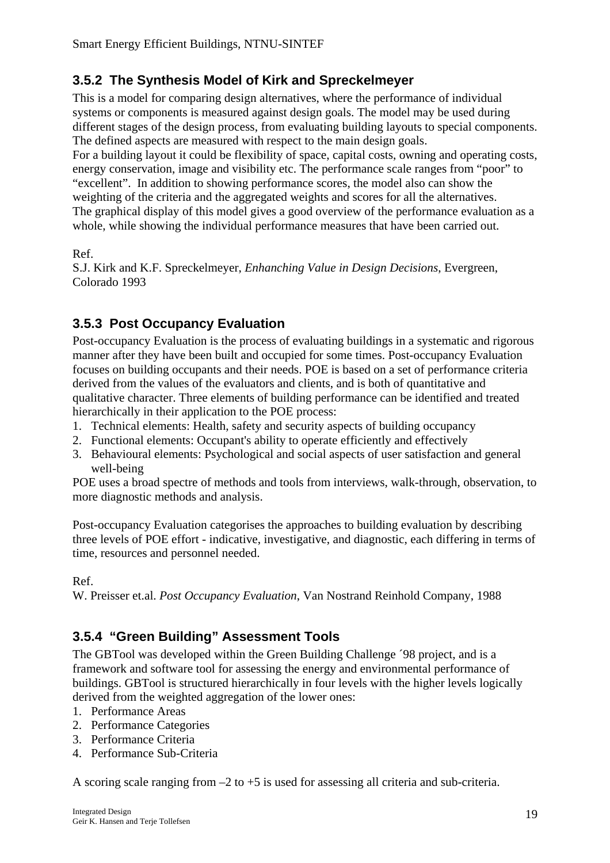### <span id="page-18-0"></span>**3.5.2 The Synthesis Model of Kirk and Spreckelmeyer**

This is a model for comparing design alternatives, where the performance of individual systems or components is measured against design goals. The model may be used during different stages of the design process, from evaluating building layouts to special components. The defined aspects are measured with respect to the main design goals. For a building layout it could be flexibility of space, capital costs, owning and operating costs,

energy conservation, image and visibility etc. The performance scale ranges from "poor" to "excellent". In addition to showing performance scores, the model also can show the weighting of the criteria and the aggregated weights and scores for all the alternatives. The graphical display of this model gives a good overview of the performance evaluation as a whole, while showing the individual performance measures that have been carried out.

Ref.

S.J. Kirk and K.F. Spreckelmeyer, *Enhanching Value in Design Decisions*, Evergreen, Colorado 1993

### **3.5.3 Post Occupancy Evaluation**

Post-occupancy Evaluation is the process of evaluating buildings in a systematic and rigorous manner after they have been built and occupied for some times. Post-occupancy Evaluation focuses on building occupants and their needs. POE is based on a set of performance criteria derived from the values of the evaluators and clients, and is both of quantitative and qualitative character. Three elements of building performance can be identified and treated hierarchically in their application to the POE process:

- 1. Technical elements: Health, safety and security aspects of building occupancy
- 2. Functional elements: Occupant's ability to operate efficiently and effectively
- 3. Behavioural elements: Psychological and social aspects of user satisfaction and general well-being

POE uses a broad spectre of methods and tools from interviews, walk-through, observation, to more diagnostic methods and analysis.

Post-occupancy Evaluation categorises the approaches to building evaluation by describing three levels of POE effort - indicative, investigative, and diagnostic, each differing in terms of time, resources and personnel needed.

Ref.

W. Preisser et.al. *Post Occupancy Evaluation*, Van Nostrand Reinhold Company, 1988

### **3.5.4 "Green Building" Assessment Tools**

The GBTool was developed within the Green Building Challenge ´98 project, and is a framework and software tool for assessing the energy and environmental performance of buildings. GBTool is structured hierarchically in four levels with the higher levels logically derived from the weighted aggregation of the lower ones:

- 1. Performance Areas
- 2. Performance Categories
- 3. Performance Criteria
- 4. Performance Sub-Criteria

A scoring scale ranging from  $-2$  to  $+5$  is used for assessing all criteria and sub-criteria.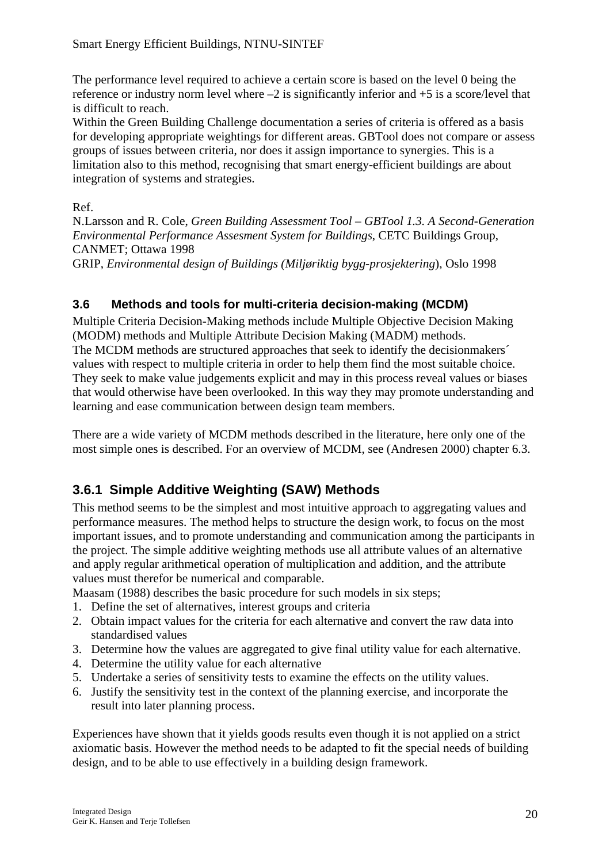<span id="page-19-0"></span>The performance level required to achieve a certain score is based on the level 0 being the reference or industry norm level where –2 is significantly inferior and +5 is a score/level that is difficult to reach.

Within the Green Building Challenge documentation a series of criteria is offered as a basis for developing appropriate weightings for different areas. GBTool does not compare or assess groups of issues between criteria, nor does it assign importance to synergies. This is a limitation also to this method, recognising that smart energy-efficient buildings are about integration of systems and strategies.

Ref.

N.Larsson and R. Cole, *Green Building Assessment Tool – GBTool 1.3. A Second-Generation Environmental Performance Assesment System for Buildings*, CETC Buildings Group, CANMET; Ottawa 1998 GRIP, *Environmental design of Buildings (Miljøriktig bygg-prosjektering*), Oslo 1998

### **3.6 Methods and tools for multi-criteria decision-making (MCDM)**

Multiple Criteria Decision-Making methods include Multiple Objective Decision Making (MODM) methods and Multiple Attribute Decision Making (MADM) methods. The MCDM methods are structured approaches that seek to identify the decisionmakers´ values with respect to multiple criteria in order to help them find the most suitable choice. They seek to make value judgements explicit and may in this process reveal values or biases that would otherwise have been overlooked. In this way they may promote understanding and learning and ease communication between design team members.

There are a wide variety of MCDM methods described in the literature, here only one of the most simple ones is described. For an overview of MCDM, see (Andresen 2000) chapter 6.3.

## **3.6.1 Simple Additive Weighting (SAW) Methods**

This method seems to be the simplest and most intuitive approach to aggregating values and performance measures. The method helps to structure the design work, to focus on the most important issues, and to promote understanding and communication among the participants in the project. The simple additive weighting methods use all attribute values of an alternative and apply regular arithmetical operation of multiplication and addition, and the attribute values must therefor be numerical and comparable.

Maasam (1988) describes the basic procedure for such models in six steps;

- 1. Define the set of alternatives, interest groups and criteria
- 2. Obtain impact values for the criteria for each alternative and convert the raw data into standardised values
- 3. Determine how the values are aggregated to give final utility value for each alternative.
- 4. Determine the utility value for each alternative
- 5. Undertake a series of sensitivity tests to examine the effects on the utility values.
- 6. Justify the sensitivity test in the context of the planning exercise, and incorporate the result into later planning process.

Experiences have shown that it yields goods results even though it is not applied on a strict axiomatic basis. However the method needs to be adapted to fit the special needs of building design, and to be able to use effectively in a building design framework.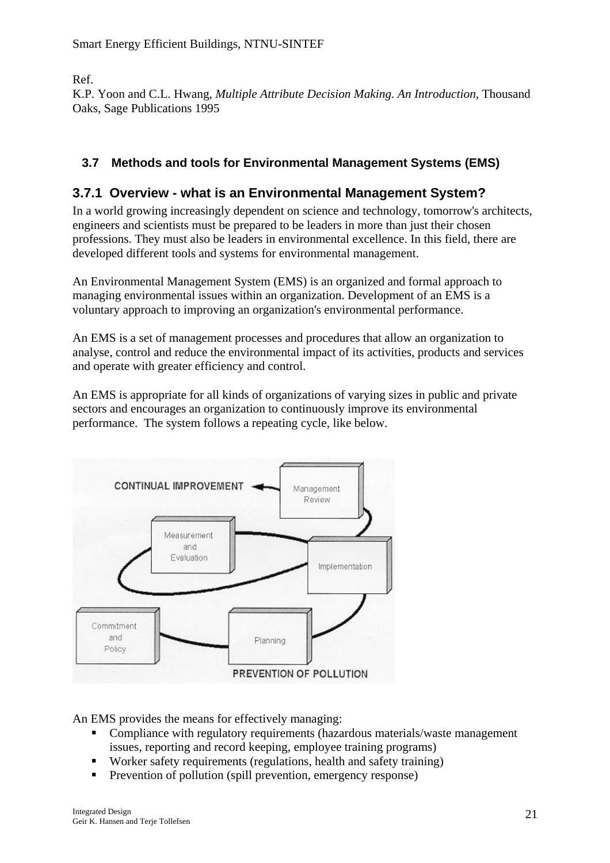<span id="page-20-0"></span>Ref.

K.P. Yoon and C.L. Hwang, *Multiple Attribute Decision Making. An Introduction*, Thousand Oaks, Sage Publications 1995

### **3.7 Methods and tools for Environmental Management Systems (EMS)**

### **3.7.1 Overview - what is an Environmental Management System?**

In a world growing increasingly dependent on science and technology, tomorrow's architects, engineers and scientists must be prepared to be leaders in more than just their chosen professions. They must also be leaders in environmental excellence. In this field, there are developed different tools and systems for environmental management.

An Environmental Management System (EMS) is an organized and formal approach to managing environmental issues within an organization. Development of an EMS is a voluntary approach to improving an organization's environmental performance.

An EMS is a set of management processes and procedures that allow an organization to analyse, control and reduce the environmental impact of its activities, products and services and operate with greater efficiency and control.

An EMS is appropriate for all kinds of organizations of varying sizes in public and private sectors and encourages an organization to continuously improve its environmental performance. The system follows a repeating cycle, like below.



An EMS provides the means for effectively managing:

- Compliance with regulatory requirements (hazardous materials/waste management issues, reporting and record keeping, employee training programs)
- Worker safety requirements (regulations, health and safety training)
- **Prevention of pollution (spill prevention, emergency response)**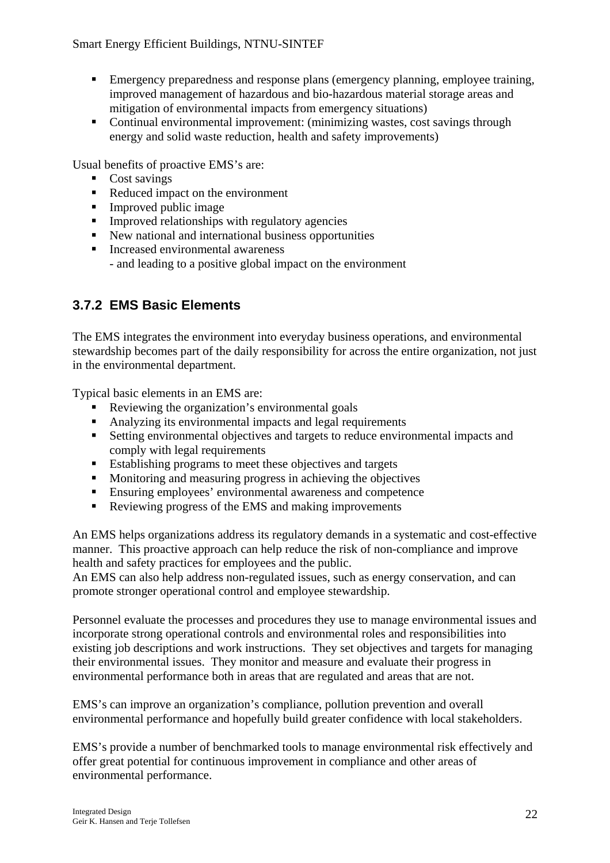- **Emergency preparedness and response plans (emergency planning, employee training,** improved management of hazardous and bio-hazardous material storage areas and mitigation of environmental impacts from emergency situations)
- Continual environmental improvement: (minimizing wastes, cost savings through energy and solid waste reduction, health and safety improvements)

Usual benefits of proactive EMS's are:

- Cost savings
- Reduced impact on the environment
- **Improved public image**
- $\blacksquare$  Improved relationships with regulatory agencies
- New national and international business opportunities
- Increased environmental awareness - and leading to a positive global impact on the environment

### **3.7.2 EMS Basic Elements**

The EMS integrates the environment into everyday business operations, and environmental stewardship becomes part of the daily responsibility for across the entire organization, not just in the environmental department.

Typical basic elements in an EMS are:

- Reviewing the organization's environmental goals
- Analyzing its environmental impacts and legal requirements
- Setting environmental objectives and targets to reduce environmental impacts and comply with legal requirements
- Establishing programs to meet these objectives and targets
- **Monitoring and measuring progress in achieving the objectives**
- Ensuring employees' environmental awareness and competence
- Reviewing progress of the EMS and making improvements

An EMS helps organizations address its regulatory demands in a systematic and cost-effective manner. This proactive approach can help reduce the risk of non-compliance and improve health and safety practices for employees and the public.

An EMS can also help address non-regulated issues, such as energy conservation, and can promote stronger operational control and employee stewardship.

Personnel evaluate the processes and procedures they use to manage environmental issues and incorporate strong operational controls and environmental roles and responsibilities into existing job descriptions and work instructions. They set objectives and targets for managing their environmental issues. They monitor and measure and evaluate their progress in environmental performance both in areas that are regulated and areas that are not.

EMS's can improve an organization's compliance, pollution prevention and overall environmental performance and hopefully build greater confidence with local stakeholders.

EMS's provide a number of benchmarked tools to manage environmental risk effectively and offer great potential for continuous improvement in compliance and other areas of environmental performance.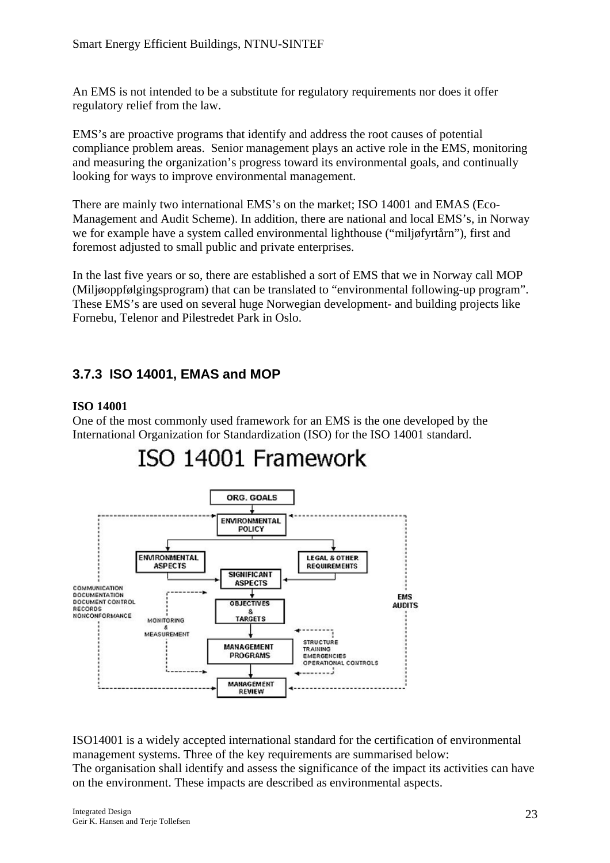An EMS is not intended to be a substitute for regulatory requirements nor does it offer regulatory relief from the law.

EMS's are proactive programs that identify and address the root causes of potential compliance problem areas. Senior management plays an active role in the EMS, monitoring and measuring the organization's progress toward its environmental goals, and continually looking for ways to improve environmental management.

There are mainly two international EMS's on the market; ISO 14001 and EMAS (Eco-Management and Audit Scheme). In addition, there are national and local EMS's, in Norway we for example have a system called environmental lighthouse ("miljøfyrtårn"), first and foremost adjusted to small public and private enterprises.

In the last five years or so, there are established a sort of EMS that we in Norway call MOP (Miljøoppfølgingsprogram) that can be translated to "environmental following-up program". These EMS's are used on several huge Norwegian development- and building projects like Fornebu, Telenor and Pilestredet Park in Oslo.

### **3.7.3 ISO 14001, EMAS and MOP**

#### **ISO 14001**

One of the most commonly used framework for an EMS is the one developed by the International Organization for Standardization (ISO) for the ISO 14001 standard.



ISO14001 is a widely accepted international standard for the certification of environmental management systems. Three of the key requirements are summarised below: The organisation shall identify and assess the significance of the impact its activities can have on the environment. These impacts are described as environmental aspects.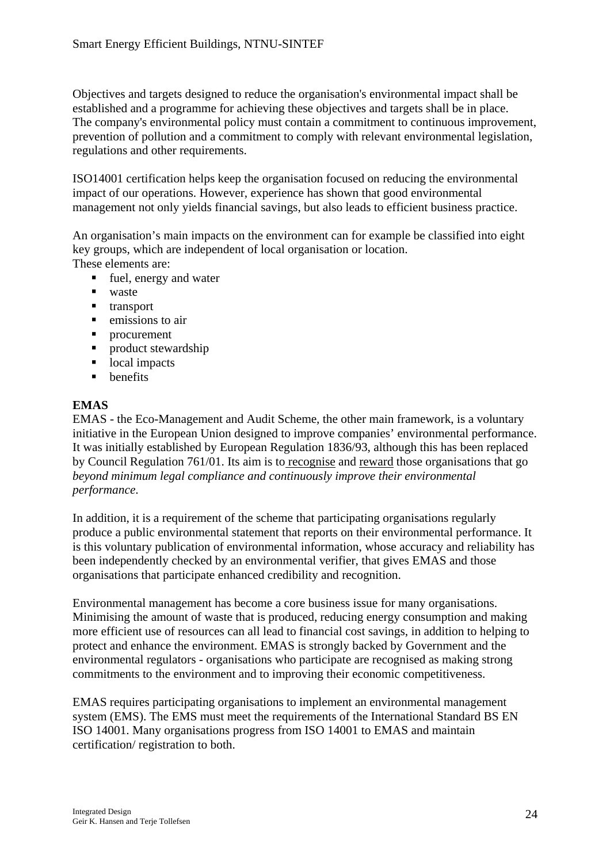Objectives and targets designed to reduce the organisation's environmental impact shall be established and a programme for achieving these objectives and targets shall be in place. The company's environmental policy must contain a commitment to continuous improvement, prevention of pollution and a commitment to comply with relevant environmental legislation, regulations and other requirements.

ISO14001 certification helps keep the organisation focused on reducing the environmental impact of our operations. However, experience has shown that good environmental management not only yields financial savings, but also leads to efficient business practice.

An organisation's main impacts on the environment can for example be classified into eight key groups, which are independent of local organisation or location.

These elements are:

- fuel, energy and water
- waste
- **u** transport
- $\blacksquare$  emissions to air
- **•** procurement
- **Peroduct stewardship**
- local impacts
- $\blacksquare$  benefits

#### **EMAS**

EMAS - the Eco-Management and Audit Scheme, the other main framework, is a voluntary initiative in the European Union designed to improve companies' environmental performance. It was initially established by European Regulation 1836/93, although this has been replaced by [Council Regulation 761/01.](http://europa.eu.int/comm/environment/emas/refdoc/regulation/01761_en.pdf) Its aim is to recognise and reward those organisations that go *beyond minimum legal compliance and continuously improve their environmental performance*.

In addition, it is a requirement of the scheme that participating organisations regularly produce a public environmental statement that reports on their environmental performance. It is this voluntary publication of environmental information, whose accuracy and reliability has been independently checked by an environmental verifier, that gives EMAS and those organisations that participate enhanced credibility and recognition.

Environmental management has become a core business issue for many organisations. Minimising the amount of waste that is produced, reducing energy consumption and making more efficient use of resources can all lead to financial cost savings, in addition to helping to protect and enhance the environment. EMAS is strongly backed by Government and the environmental regulators - organisations who participate are recognised as making strong commitments to the environment and to improving their economic competitiveness.

EMAS requires participating organisations to implement an environmental management system (EMS). The EMS must meet the requirements of the International Standard BS EN ISO 14001. Many organisations progress from ISO 14001 to EMAS and maintain certification/ registration to both.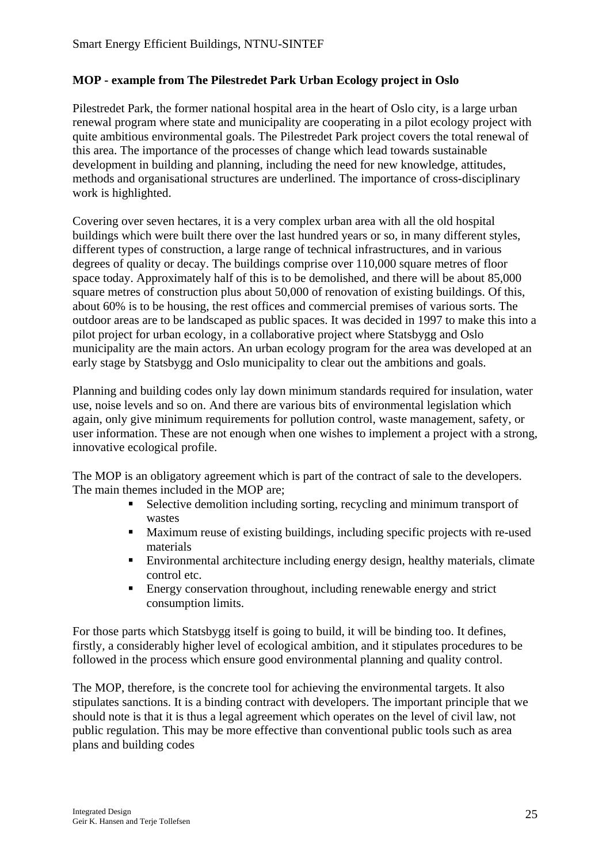#### **MOP - example from The Pilestredet Park Urban Ecology project in Oslo**

Pilestredet Park, the former national hospital area in the heart of Oslo city, is a large urban renewal program where state and municipality are cooperating in a pilot ecology project with quite ambitious environmental goals. The Pilestredet Park project covers the total renewal of this area. The importance of the processes of change which lead towards sustainable development in building and planning, including the need for new knowledge, attitudes, methods and organisational structures are underlined. The importance of cross-disciplinary work is highlighted.

Covering over seven hectares, it is a very complex urban area with all the old hospital buildings which were built there over the last hundred years or so, in many different styles, different types of construction, a large range of technical infrastructures, and in various degrees of quality or decay. The buildings comprise over 110,000 square metres of floor space today. Approximately half of this is to be demolished, and there will be about 85,000 square metres of construction plus about 50,000 of renovation of existing buildings. Of this, about 60% is to be housing, the rest offices and commercial premises of various sorts. The outdoor areas are to be landscaped as public spaces. It was decided in 1997 to make this into a pilot project for urban ecology, in a collaborative project where Statsbygg and Oslo municipality are the main actors. An urban ecology program for the area was developed at an early stage by Statsbygg and Oslo municipality to clear out the ambitions and goals.

Planning and building codes only lay down minimum standards required for insulation, water use, noise levels and so on. And there are various bits of environmental legislation which again, only give minimum requirements for pollution control, waste management, safety, or user information. These are not enough when one wishes to implement a project with a strong, innovative ecological profile.

The MOP is an obligatory agreement which is part of the contract of sale to the developers. The main themes included in the MOP are;

- Selective demolition including sorting, recycling and minimum transport of wastes
- Maximum reuse of existing buildings, including specific projects with re-used materials
- Environmental architecture including energy design, healthy materials, climate control etc.
- **Energy conservation throughout, including renewable energy and strict** consumption limits.

For those parts which Statsbygg itself is going to build, it will be binding too. It defines, firstly, a considerably higher level of ecological ambition, and it stipulates procedures to be followed in the process which ensure good environmental planning and quality control.

The MOP, therefore, is the concrete tool for achieving the environmental targets. It also stipulates sanctions. It is a binding contract with developers. The important principle that we should note is that it is thus a legal agreement which operates on the level of civil law, not public regulation. This may be more effective than conventional public tools such as area plans and building codes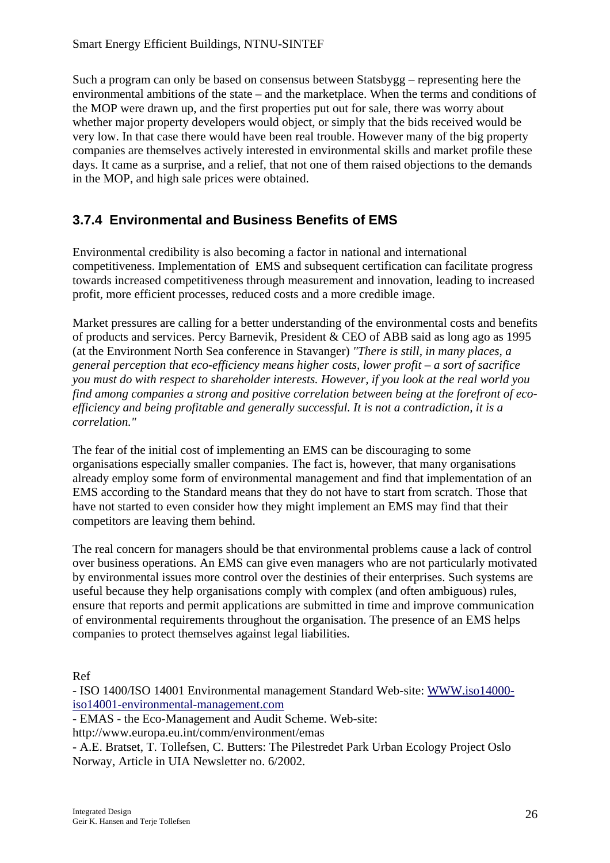Such a program can only be based on consensus between Statsbygg – representing here the environmental ambitions of the state – and the marketplace. When the terms and conditions of the MOP were drawn up, and the first properties put out for sale, there was worry about whether major property developers would object, or simply that the bids received would be very low. In that case there would have been real trouble. However many of the big property companies are themselves actively interested in environmental skills and market profile these days. It came as a surprise, and a relief, that not one of them raised objections to the demands in the MOP, and high sale prices were obtained.

### **3.7.4 Environmental and Business Benefits of EMS**

Environmental credibility is also becoming a factor in national and international competitiveness. Implementation of EMS and subsequent certification can facilitate progress towards increased competitiveness through measurement and innovation, leading to increased profit, more efficient processes, reduced costs and a more credible image.

Market pressures are calling for a better understanding of the environmental costs and benefits of products and services. Percy Barnevik, President & CEO of ABB said as long ago as 1995 (at the Environment North Sea conference in Stavanger) *"There is still, in many places, a general perception that eco-efficiency means higher costs, lower profit – a sort of sacrifice you must do with respect to shareholder interests. However, if you look at the real world you find among companies a strong and positive correlation between being at the forefront of ecoefficiency and being profitable and generally successful. It is not a contradiction, it is a correlation."* 

The fear of the initial cost of implementing an EMS can be discouraging to some organisations especially smaller companies. The fact is, however, that many organisations already employ some form of environmental management and find that implementation of an EMS according to the Standard means that they do not have to start from scratch. Those that have not started to even consider how they might implement an EMS may find that their competitors are leaving them behind.

The real concern for managers should be that environmental problems cause a lack of control over business operations. An EMS can give even managers who are not particularly motivated by environmental issues more control over the destinies of their enterprises. Such systems are useful because they help organisations comply with complex (and often ambiguous) rules, ensure that reports and permit applications are submitted in time and improve communication of environmental requirements throughout the organisation. The presence of an EMS helps companies to protect themselves against legal liabilities.

Ref

- ISO 1400/ISO 14001 Environmental management Standard Web-site: [WWW.iso14000](http://www.iso14000-iso14001-environmental-management.com/) [iso14001-environmental-management.com](http://www.iso14000-iso14001-environmental-management.com/)

- EMAS - the Eco-Management and Audit Scheme. Web-site:

http://www.europa.eu.int/comm/environment/emas

- A.E. Bratset, T. Tollefsen, C. Butters: The Pilestredet Park Urban Ecology Project Oslo Norway, Article in UIA Newsletter no. 6/2002.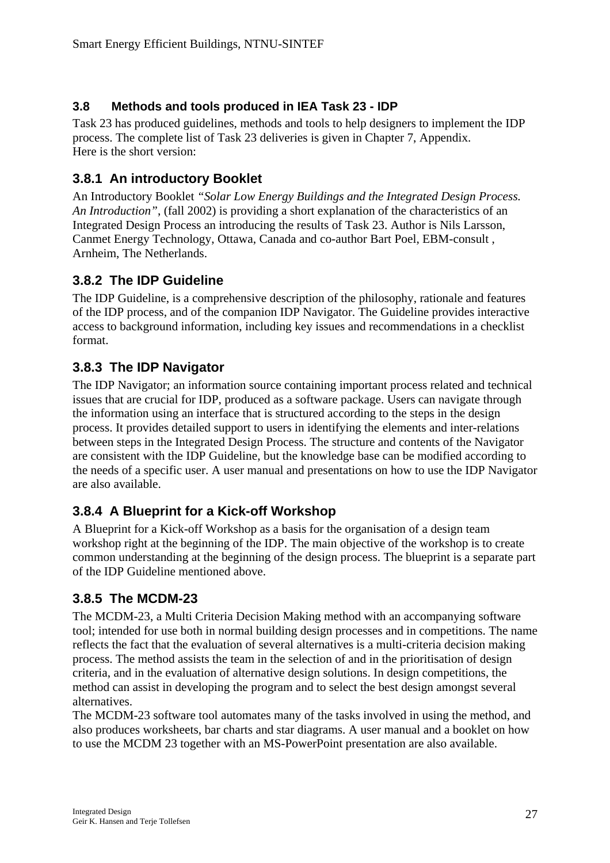### <span id="page-26-0"></span>**3.8 Methods and tools produced in IEA Task 23 - IDP**

Task 23 has produced guidelines, methods and tools to help designers to implement the IDP process. The complete list of Task 23 deliveries is given in Chapter 7, Appendix. Here is the short version:

### **3.8.1 An introductory Booklet**

An Introductory Booklet *"Solar Low Energy Buildings and the Integrated Design Process. An Introduction"*, (fall 2002) is providing a short explanation of the characteristics of an Integrated Design Process an introducing the results of Task 23. Author is Nils Larsson, Canmet Energy Technology, Ottawa, Canada and co-author Bart Poel, EBM-consult , Arnheim, The Netherlands.

### **3.8.2 The IDP Guideline**

The IDP Guideline, is a comprehensive description of the philosophy, rationale and features of the IDP process, and of the companion IDP Navigator. The Guideline provides interactive access to background information, including key issues and recommendations in a checklist format.

### **3.8.3 The IDP Navigator**

The IDP Navigator; an information source containing important process related and technical issues that are crucial for IDP, produced as a software package. Users can navigate through the information using an interface that is structured according to the steps in the design process. It provides detailed support to users in identifying the elements and inter-relations between steps in the Integrated Design Process. The structure and contents of the Navigator are consistent with the IDP Guideline, but the knowledge base can be modified according to the needs of a specific user. A user manual and presentations on how to use the IDP Navigator are also available.

### **3.8.4 A Blueprint for a Kick-off Workshop**

A Blueprint for a Kick-off Workshop as a basis for the organisation of a design team workshop right at the beginning of the IDP. The main objective of the workshop is to create common understanding at the beginning of the design process. The blueprint is a separate part of the IDP Guideline mentioned above.

### **3.8.5 The MCDM-23**

The MCDM-23, a Multi Criteria Decision Making method with an accompanying software tool; intended for use both in normal building design processes and in competitions. The name reflects the fact that the evaluation of several alternatives is a multi-criteria decision making process. The method assists the team in the selection of and in the prioritisation of design criteria, and in the evaluation of alternative design solutions. In design competitions, the method can assist in developing the program and to select the best design amongst several alternatives.

The MCDM-23 software tool automates many of the tasks involved in using the method, and also produces worksheets, bar charts and star diagrams. A user manual and a booklet on how to use the MCDM 23 together with an MS-PowerPoint presentation are also available.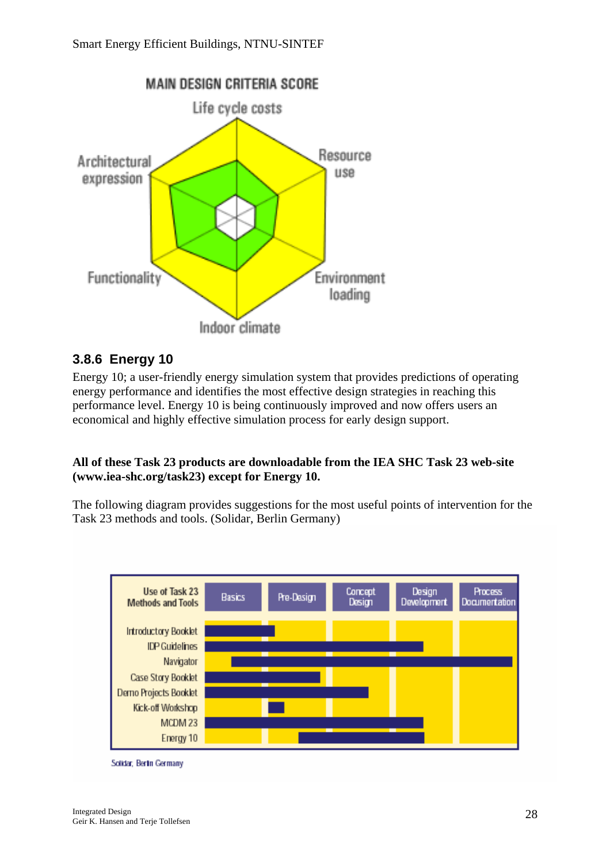

### **3.8.6 Energy 10**

Energy 10; a user-friendly energy simulation system that provides predictions of operating energy performance and identifies the most effective design strategies in reaching this performance level. Energy 10 is being continuously improved and now offers users an economical and highly effective simulation process for early design support.

#### **All of these Task 23 products are downloadable from the IEA SHC Task 23 web-site (www.iea-shc.org/task23) except for Energy 10.**

The following diagram provides suggestions for the most useful points of intervention for the Task 23 methods and tools. (Solidar, Berlin Germany)



Solidar, Berlin Germany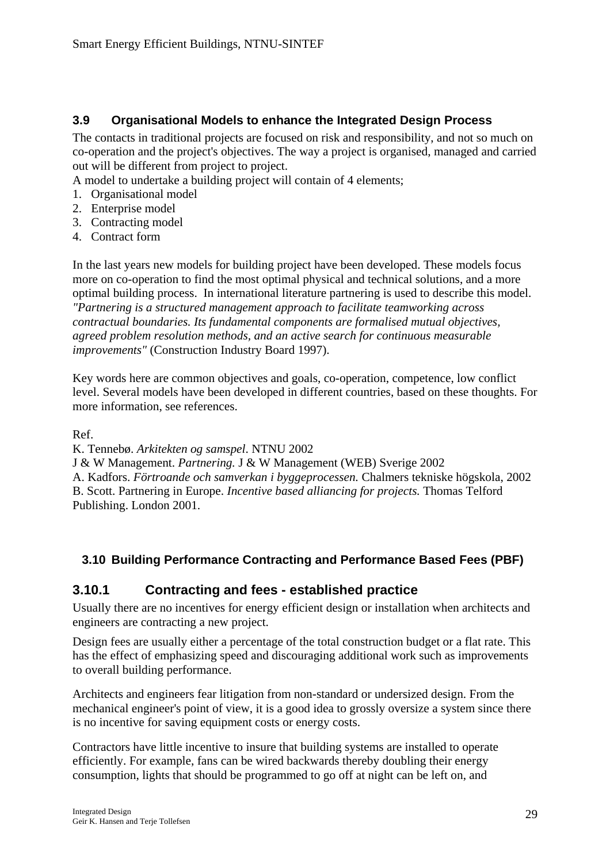### **3.9 Organisational Models to enhance the Integrated Design Process**

The contacts in traditional projects are focused on risk and responsibility, and not so much on co-operation and the project's objectives. The way a project is organised, managed and carried out will be different from project to project.

A model to undertake a building project will contain of 4 elements;

- 1. Organisational model
- 2. Enterprise model
- 3. Contracting model
- 4. Contract form

In the last years new models for building project have been developed. These models focus more on co-operation to find the most optimal physical and technical solutions, and a more optimal building process. In international literature partnering is used to describe this model. *"Partnering is a structured management approach to facilitate teamworking across contractual boundaries. Its fundamental components are formalised mutual objectives, agreed problem resolution methods, and an active search for continuous measurable improvements"* (Construction Industry Board 1997).

Key words here are common objectives and goals, co-operation, competence, low conflict level. Several models have been developed in different countries, based on these thoughts. For more information, see references.

Ref.

K. Tennebø. *Arkitekten og samspel*. NTNU 2002

J & W Management. *Partnering.* J & W Management (WEB) Sverige 2002

A. Kadfors. *Förtroande och samverkan i byggeprocessen.* Chalmers tekniske högskola, 2002 B. Scott. Partnering in Europe. *Incentive based alliancing for projects.* Thomas Telford Publishing. London 2001.

### **3.10 Building Performance Contracting and Performance Based Fees (PBF)**

### **3.10.1 Contracting and fees - established practice**

Usually there are no incentives for energy efficient design or installation when architects and engineers are contracting a new project.

Design fees are usually either a percentage of the total construction budget or a flat rate. This has the effect of emphasizing speed and discouraging additional work such as improvements to overall building performance.

Architects and engineers fear litigation from non-standard or undersized design. From the mechanical engineer's point of view, it is a good idea to grossly oversize a system since there is no incentive for saving equipment costs or energy costs.

Contractors have little incentive to insure that building systems are installed to operate efficiently. For example, fans can be wired backwards thereby doubling their energy consumption, lights that should be programmed to go off at night can be left on, and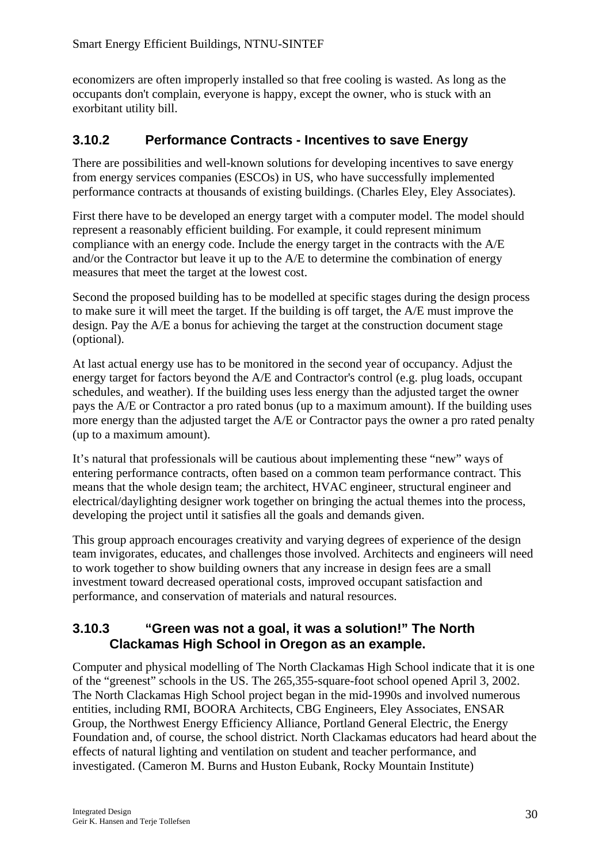economizers are often improperly installed so that free cooling is wasted. As long as the occupants don't complain, everyone is happy, except the owner, who is stuck with an exorbitant utility bill.

### **3.10.2 Performance Contracts - Incentives to save Energy**

There are possibilities and well-known solutions for developing incentives to save energy from energy services companies (ESCOs) in US, who have successfully implemented performance contracts at thousands of existing buildings. (Charles Eley, Eley Associates).

First there have to be developed an energy target with a computer model. The model should represent a reasonably efficient building. For example, it could represent minimum compliance with an energy code. Include the energy target in the contracts with the A/E and/or the Contractor but leave it up to the A/E to determine the combination of energy measures that meet the target at the lowest cost.

Second the proposed building has to be modelled at specific stages during the design process to make sure it will meet the target. If the building is off target, the A/E must improve the design. Pay the A/E a bonus for achieving the target at the construction document stage (optional).

At last actual energy use has to be monitored in the second year of occupancy. Adjust the energy target for factors beyond the A/E and Contractor's control (e.g. plug loads, occupant schedules, and weather). If the building uses less energy than the adjusted target the owner pays the A/E or Contractor a pro rated bonus (up to a maximum amount). If the building uses more energy than the adjusted target the A/E or Contractor pays the owner a pro rated penalty (up to a maximum amount).

It's natural that professionals will be cautious about implementing these "new" ways of entering performance contracts, often based on a common team performance contract. This means that the whole design team; the architect, HVAC engineer, structural engineer and electrical/daylighting designer work together on bringing the actual themes into the process, developing the project until it satisfies all the goals and demands given.

This group approach encourages creativity and varying degrees of experience of the design team invigorates, educates, and challenges those involved. Architects and engineers will need to work together to show building owners that any increase in design fees are a small investment toward decreased operational costs, improved occupant satisfaction and performance, and conservation of materials and natural resources.

### **3.10.3 "Green was not a goal, it was a solution!" The North Clackamas High School in Oregon as an example.**

Computer and physical modelling of The North Clackamas High School indicate that it is one of the "greenest" schools in the US. The 265,355-square-foot school opened April 3, 2002. The North Clackamas High School project began in the mid-1990s and involved numerous entities, including RMI, BOORA Architects, CBG Engineers, Eley Associates, ENSAR Group, the Northwest Energy Efficiency Alliance, Portland General Electric, the Energy Foundation and, of course, the school district. North Clackamas educators had heard about the effects of natural lighting and ventilation on student and teacher performance, and investigated. (Cameron M. Burns and Huston Eubank, Rocky Mountain Institute)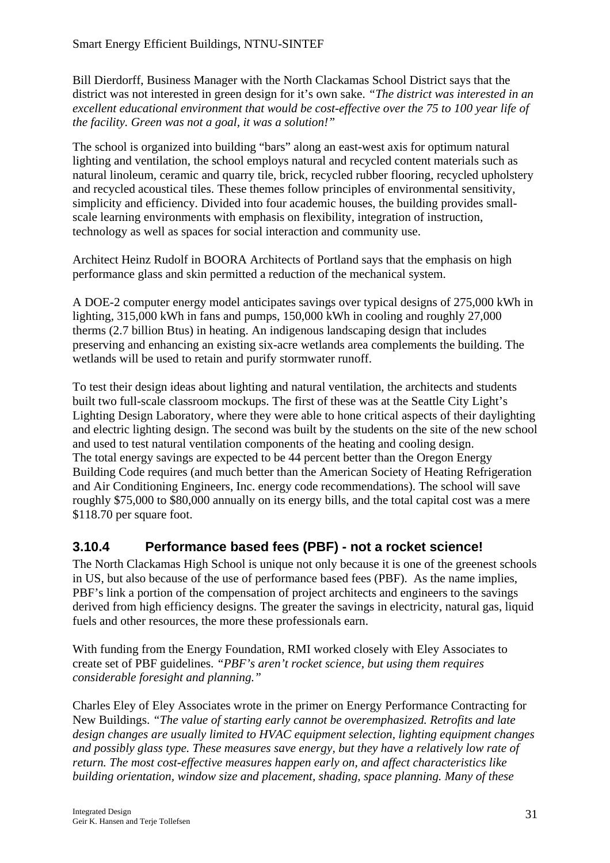Bill Dierdorff, Business Manager with the North Clackamas School District says that the district was not interested in green design for it's own sake. *"The district was interested in an excellent educational environment that would be cost-effective over the 75 to 100 year life of the facility. Green was not a goal, it was a solution!"* 

The school is organized into building "bars" along an east-west axis for optimum natural lighting and ventilation, the school employs natural and recycled content materials such as natural linoleum, ceramic and quarry tile, brick, recycled rubber flooring, recycled upholstery and recycled acoustical tiles. These themes follow principles of environmental sensitivity, simplicity and efficiency. Divided into four academic houses, the building provides smallscale learning environments with emphasis on flexibility, integration of instruction, technology as well as spaces for social interaction and community use.

Architect Heinz Rudolf in BOORA Architects of Portland says that the emphasis on high performance glass and skin permitted a reduction of the mechanical system.

A DOE-2 computer energy model anticipates savings over typical designs of 275,000 kWh in lighting, 315,000 kWh in fans and pumps, 150,000 kWh in cooling and roughly 27,000 therms (2.7 billion Btus) in heating. An indigenous landscaping design that includes preserving and enhancing an existing six-acre wetlands area complements the building. The wetlands will be used to retain and purify stormwater runoff.

To test their design ideas about lighting and natural ventilation, the architects and students built two full-scale classroom mockups. The first of these was at the Seattle City Light's Lighting Design Laboratory, where they were able to hone critical aspects of their daylighting and electric lighting design. The second was built by the students on the site of the new school and used to test natural ventilation components of the heating and cooling design. The total energy savings are expected to be 44 percent better than the Oregon Energy Building Code requires (and much better than the American Society of Heating Refrigeration and Air Conditioning Engineers, Inc. energy code recommendations). The school will save roughly \$75,000 to \$80,000 annually on its energy bills, and the total capital cost was a mere \$118.70 per square foot.

### **3.10.4 Performance based fees (PBF) - not a rocket science!**

The North Clackamas High School is unique not only because it is one of the greenest schools in US, but also because of the use of performance based fees (PBF). As the name implies, PBF's link a portion of the compensation of project architects and engineers to the savings derived from high efficiency designs. The greater the savings in electricity, natural gas, liquid fuels and other resources, the more these professionals earn.

With funding from the Energy Foundation, RMI worked closely with Eley Associates to create set of PBF guidelines. *"PBF's aren't rocket science, but using them requires considerable foresight and planning."*

Charles Eley of Eley Associates wrote in the primer on Energy Performance Contracting for New Buildings. *"The value of starting early cannot be overemphasized. Retrofits and late design changes are usually limited to HVAC equipment selection, lighting equipment changes and possibly glass type. These measures save energy, but they have a relatively low rate of return. The most cost-effective measures happen early on, and affect characteristics like building orientation, window size and placement, shading, space planning. Many of these*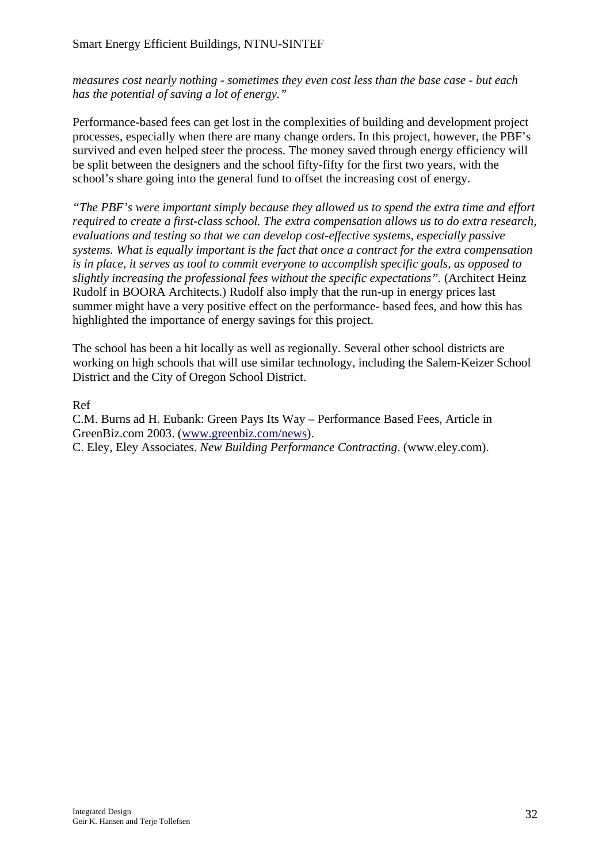*measures cost nearly nothing - sometimes they even cost less than the base case - but each has the potential of saving a lot of energy."*

Performance-based fees can get lost in the complexities of building and development project processes, especially when there are many change orders. In this project, however, the PBF's survived and even helped steer the process. The money saved through energy efficiency will be split between the designers and the school fifty-fifty for the first two years, with the school's share going into the general fund to offset the increasing cost of energy.

*"The PBF's were important simply because they allowed us to spend the extra time and effort required to create a first-class school. The extra compensation allows us to do extra research, evaluations and testing so that we can develop cost-effective systems, especially passive systems. What is equally important is the fact that once a contract for the extra compensation is in place, it serves as tool to commit everyone to accomplish specific goals, as opposed to slightly increasing the professional fees without the specific expectations".* (Architect Heinz Rudolf in BOORA Architects.) Rudolf also imply that the run-up in energy prices last summer might have a very positive effect on the performance- based fees, and how this has highlighted the importance of energy savings for this project.

The school has been a hit locally as well as regionally. Several other school districts are working on high schools that will use similar technology, including the Salem-Keizer School District and the City of Oregon School District.

Ref

C.M. Burns ad H. Eubank: Green Pays Its Way – Performance Based Fees, Article in GreenBiz.com 2003. [\(www.greenbiz.com/news](http://www.greenbiz.com/news)).

C. Eley, Eley Associates. *New Building Performance Contracting*. (www.eley.com).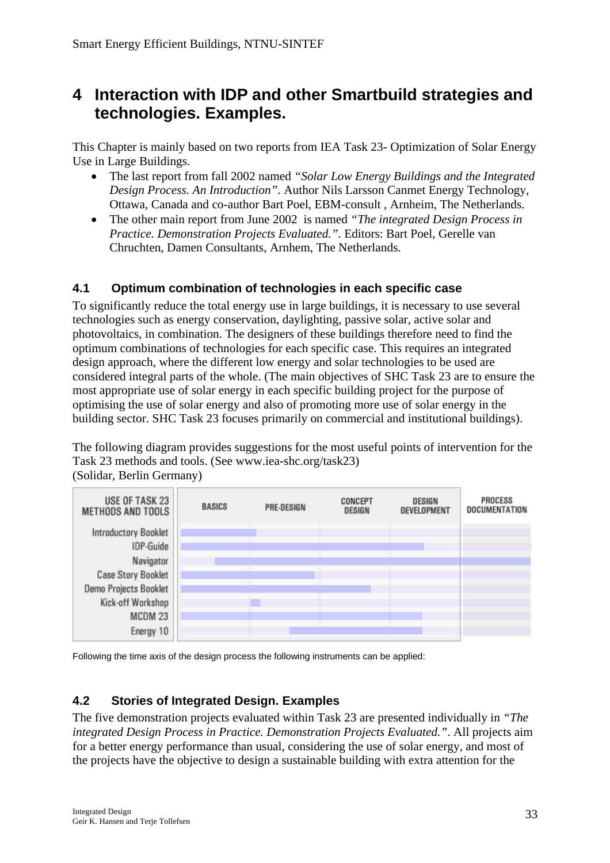## **4 Interaction with IDP and other Smartbuild strategies and technologies. Examples.**

This Chapter is mainly based on two reports from IEA Task 23- Optimization of Solar Energy Use in Large Buildings.

- The last report from fall 2002 named *"Solar Low Energy Buildings and the Integrated Design Process. An Introduction"*. Author Nils Larsson Canmet Energy Technology, Ottawa, Canada and co-author Bart Poel, EBM-consult , Arnheim, The Netherlands.
- The other main report from June 2002 is named *"The integrated Design Process in Practice. Demonstration Projects Evaluated.".* Editors: Bart Poel, Gerelle van Chruchten, Damen Consultants, Arnhem, The Netherlands.

#### **4.1 Optimum combination of technologies in each specific case**

To significantly reduce the total energy use in large buildings, it is necessary to use several technologies such as energy conservation, daylighting, passive solar, active solar and photovoltaics, in combination. The designers of these buildings therefore need to find the optimum combinations of technologies for each specific case. This requires an integrated design approach, where the different low energy and solar technologies to be used are considered integral parts of the whole. (The main objectives of SHC Task 23 are to ensure the most appropriate use of solar energy in each specific building project for the purpose of optimising the use of solar energy and also of promoting more use of solar energy in the building sector. SHC Task 23 focuses primarily on commercial and institutional buildings).

The following diagram provides suggestions for the most useful points of intervention for the Task 23 methods and tools. (See www.iea-shc.org/task23) (Solidar, Berlin Germany)



Following the time axis of the design process the following instruments can be applied:

### **4.2 Stories of Integrated Design. Examples**

The five demonstration projects evaluated within Task 23 are presented individually in *"The integrated Design Process in Practice. Demonstration Projects Evaluated."*. All projects aim for a better energy performance than usual, considering the use of solar energy, and most of the projects have the objective to design a sustainable building with extra attention for the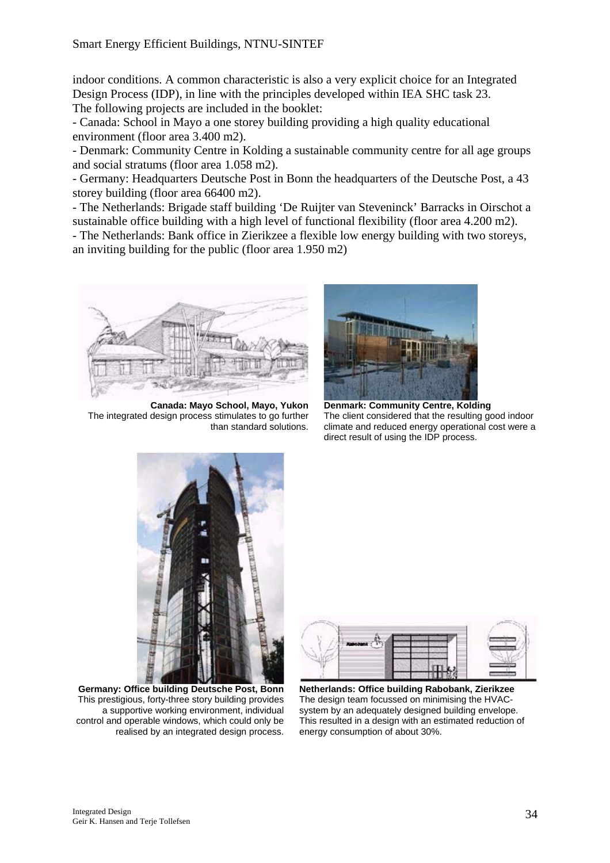indoor conditions. A common characteristic is also a very explicit choice for an Integrated Design Process (IDP), in line with the principles developed within IEA SHC task 23. The following projects are included in the booklet:

- Canada: School in Mayo a one storey building providing a high quality educational environment (floor area 3.400 m2).

- Denmark: Community Centre in Kolding a sustainable community centre for all age groups and social stratums (floor area 1.058 m2).

- Germany: Headquarters Deutsche Post in Bonn the headquarters of the Deutsche Post, a 43 storey building (floor area 66400 m2).

- The Netherlands: Brigade staff building 'De Ruijter van Steveninck' Barracks in Oirschot a sustainable office building with a high level of functional flexibility (floor area 4.200 m2).

- The Netherlands: Bank office in Zierikzee a flexible low energy building with two storeys, an inviting building for the public (floor area 1.950 m2)



**Canada: Mayo School, Mayo, Yukon** The integrated design process stimulates to go further than standard solutions.



**Denmark: Community Centre, Kolding**  The client considered that the resulting good indoor climate and reduced energy operational cost were a direct result of using the IDP process.



**Germany: Office building Deutsche Post, Bonn** This prestigious, forty-three story building provides a supportive working environment, individual control and operable windows, which could only be realised by an integrated design process.



**Netherlands: Office building Rabobank, Zierikzee** The design team focussed on minimising the HVACsystem by an adequately designed building envelope. This resulted in a design with an estimated reduction of energy consumption of about 30%.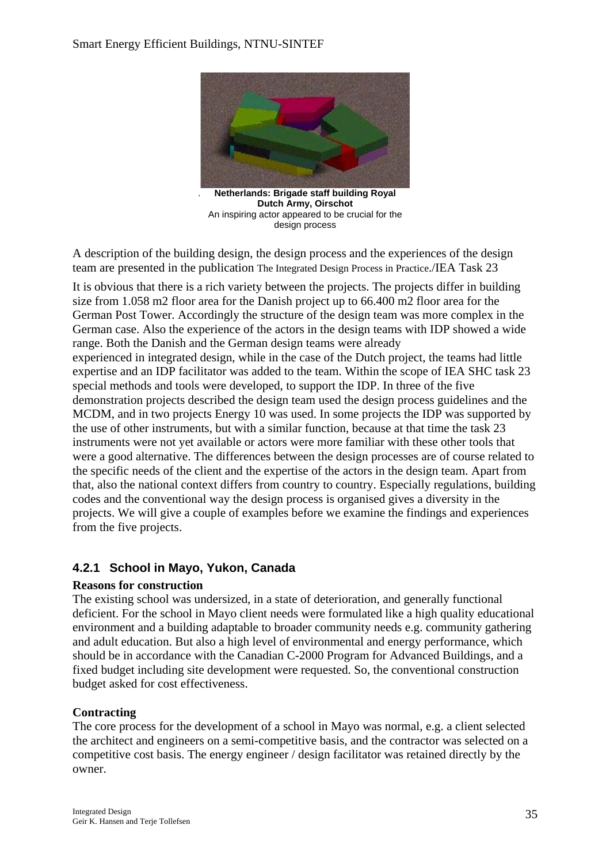#### Smart Energy Efficient Buildings, NTNU-SINTEF



. **Netherlands: Brigade staff building Royal Dutch Army, Oirschot** An inspiring actor appeared to be crucial for the design process

 $\overline{\phantom{a}}$ 

A description of the building design, the design process and the experiences of the design team are presented in the publication The Integrated Design Process in Practice./IEA Task 23

It is obvious that there is a rich variety between the projects. The projects differ in building size from 1.058 m2 floor area for the Danish project up to 66.400 m2 floor area for the German Post Tower. Accordingly the structure of the design team was more complex in the German case. Also the experience of the actors in the design teams with IDP showed a wide range. Both the Danish and the German design teams were already

experienced in integrated design, while in the case of the Dutch project, the teams had little expertise and an IDP facilitator was added to the team. Within the scope of IEA SHC task 23 special methods and tools were developed, to support the IDP. In three of the five demonstration projects described the design team used the design process guidelines and the MCDM, and in two projects Energy 10 was used. In some projects the IDP was supported by the use of other instruments, but with a similar function, because at that time the task 23 instruments were not yet available or actors were more familiar with these other tools that were a good alternative. The differences between the design processes are of course related to the specific needs of the client and the expertise of the actors in the design team. Apart from that, also the national context differs from country to country. Especially regulations, building codes and the conventional way the design process is organised gives a diversity in the projects. We will give a couple of examples before we examine the findings and experiences from the five projects.

#### **4.2.1 School in Mayo, Yukon, Canada**

#### **Reasons for construction**

The existing school was undersized, in a state of deterioration, and generally functional deficient. For the school in Mayo client needs were formulated like a high quality educational environment and a building adaptable to broader community needs e.g. community gathering and adult education. But also a high level of environmental and energy performance, which should be in accordance with the Canadian C-2000 Program for Advanced Buildings, and a fixed budget including site development were requested. So, the conventional construction budget asked for cost effectiveness.

#### **Contracting**

The core process for the development of a school in Mayo was normal, e.g. a client selected the architect and engineers on a semi-competitive basis, and the contractor was selected on a competitive cost basis. The energy engineer / design facilitator was retained directly by the owner.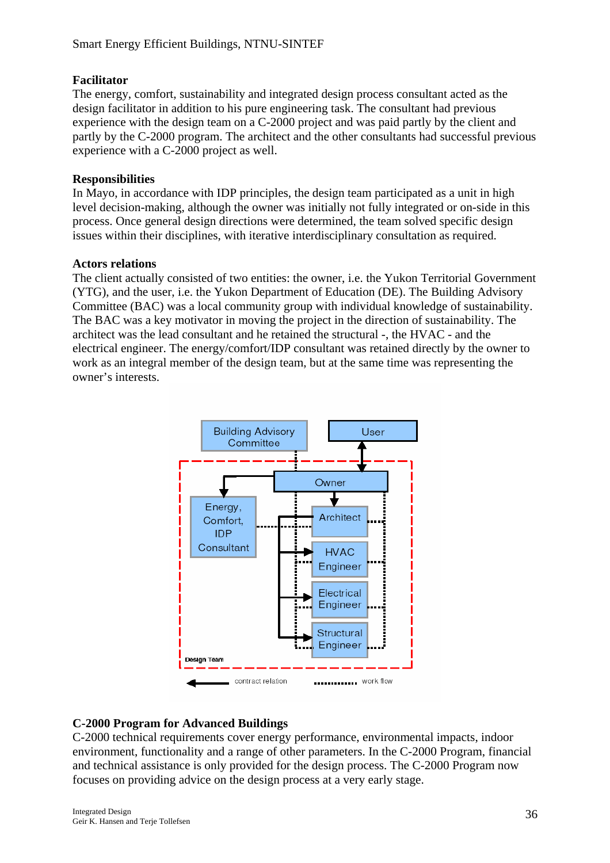#### **Facilitator**

The energy, comfort, sustainability and integrated design process consultant acted as the design facilitator in addition to his pure engineering task. The consultant had previous experience with the design team on a C-2000 project and was paid partly by the client and partly by the C-2000 program. The architect and the other consultants had successful previous experience with a C-2000 project as well.

#### **Responsibilities**

In Mayo, in accordance with IDP principles, the design team participated as a unit in high level decision-making, although the owner was initially not fully integrated or on-side in this process. Once general design directions were determined, the team solved specific design issues within their disciplines, with iterative interdisciplinary consultation as required.

#### **Actors relations**

The client actually consisted of two entities: the owner, i.e. the Yukon Territorial Government (YTG), and the user, i.e. the Yukon Department of Education (DE). The Building Advisory Committee (BAC) was a local community group with individual knowledge of sustainability. The BAC was a key motivator in moving the project in the direction of sustainability. The architect was the lead consultant and he retained the structural -, the HVAC - and the electrical engineer. The energy/comfort/IDP consultant was retained directly by the owner to work as an integral member of the design team, but at the same time was representing the owner's interests.



#### **C-2000 Program for Advanced Buildings**

C-2000 technical requirements cover energy performance, environmental impacts, indoor environment, functionality and a range of other parameters. In the C-2000 Program, financial and technical assistance is only provided for the design process. The C-2000 Program now focuses on providing advice on the design process at a very early stage.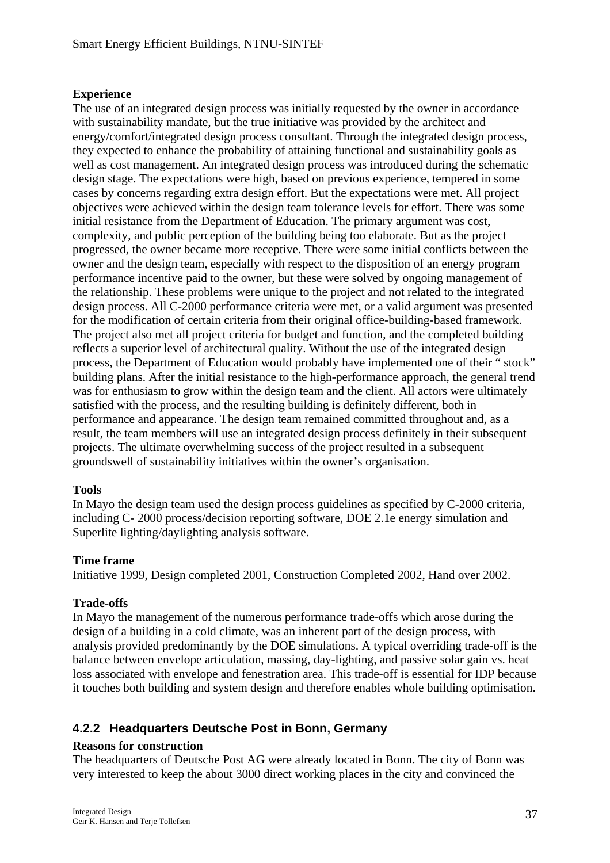#### **Experience**

The use of an integrated design process was initially requested by the owner in accordance with sustainability mandate, but the true initiative was provided by the architect and energy/comfort/integrated design process consultant. Through the integrated design process, they expected to enhance the probability of attaining functional and sustainability goals as well as cost management. An integrated design process was introduced during the schematic design stage. The expectations were high, based on previous experience, tempered in some cases by concerns regarding extra design effort. But the expectations were met. All project objectives were achieved within the design team tolerance levels for effort. There was some initial resistance from the Department of Education. The primary argument was cost, complexity, and public perception of the building being too elaborate. But as the project progressed, the owner became more receptive. There were some initial conflicts between the owner and the design team, especially with respect to the disposition of an energy program performance incentive paid to the owner, but these were solved by ongoing management of the relationship. These problems were unique to the project and not related to the integrated design process. All C-2000 performance criteria were met, or a valid argument was presented for the modification of certain criteria from their original office-building-based framework. The project also met all project criteria for budget and function, and the completed building reflects a superior level of architectural quality. Without the use of the integrated design process, the Department of Education would probably have implemented one of their " stock" building plans. After the initial resistance to the high-performance approach, the general trend was for enthusiasm to grow within the design team and the client. All actors were ultimately satisfied with the process, and the resulting building is definitely different, both in performance and appearance. The design team remained committed throughout and, as a result, the team members will use an integrated design process definitely in their subsequent projects. The ultimate overwhelming success of the project resulted in a subsequent groundswell of sustainability initiatives within the owner's organisation.

#### **Tools**

In Mayo the design team used the design process guidelines as specified by C-2000 criteria, including C- 2000 process/decision reporting software, DOE 2.1e energy simulation and Superlite lighting/daylighting analysis software.

#### **Time frame**

Initiative 1999, Design completed 2001, Construction Completed 2002, Hand over 2002.

#### **Trade-offs**

In Mayo the management of the numerous performance trade-offs which arose during the design of a building in a cold climate, was an inherent part of the design process, with analysis provided predominantly by the DOE simulations. A typical overriding trade-off is the balance between envelope articulation, massing, day-lighting, and passive solar gain vs. heat loss associated with envelope and fenestration area. This trade-off is essential for IDP because it touches both building and system design and therefore enables whole building optimisation.

#### **4.2.2 Headquarters Deutsche Post in Bonn, Germany**

#### **Reasons for construction**

The headquarters of Deutsche Post AG were already located in Bonn. The city of Bonn was very interested to keep the about 3000 direct working places in the city and convinced the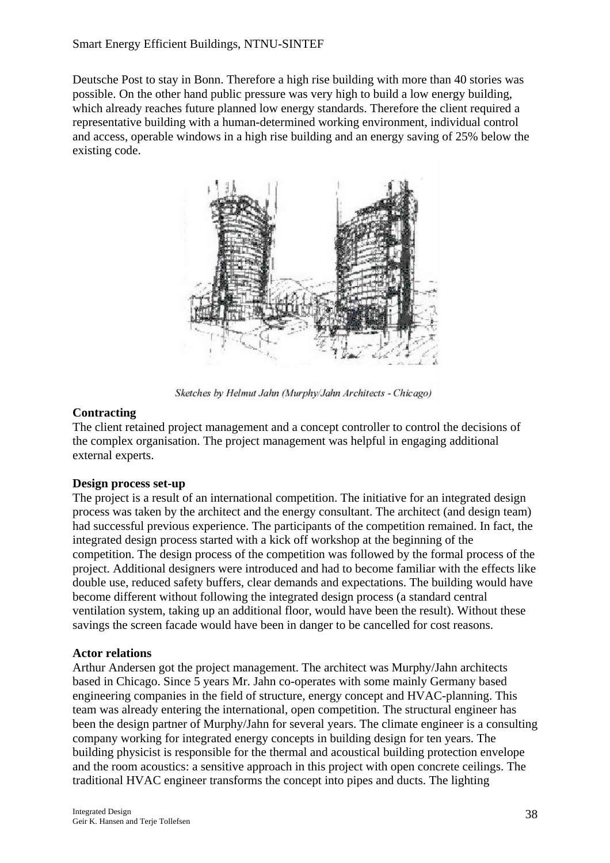Deutsche Post to stay in Bonn. Therefore a high rise building with more than 40 stories was possible. On the other hand public pressure was very high to build a low energy building, which already reaches future planned low energy standards. Therefore the client required a representative building with a human-determined working environment, individual control and access, operable windows in a high rise building and an energy saving of 25% below the existing code.



Sketches by Helmut Jahn (Murphy/Jahn Architects - Chicago)

#### **Contracting**

The client retained project management and a concept controller to control the decisions of the complex organisation. The project management was helpful in engaging additional external experts.

#### **Design process set-up**

The project is a result of an international competition. The initiative for an integrated design process was taken by the architect and the energy consultant. The architect (and design team) had successful previous experience. The participants of the competition remained. In fact, the integrated design process started with a kick off workshop at the beginning of the competition. The design process of the competition was followed by the formal process of the project. Additional designers were introduced and had to become familiar with the effects like double use, reduced safety buffers, clear demands and expectations. The building would have become different without following the integrated design process (a standard central ventilation system, taking up an additional floor, would have been the result). Without these savings the screen facade would have been in danger to be cancelled for cost reasons.

#### **Actor relations**

Arthur Andersen got the project management. The architect was Murphy/Jahn architects based in Chicago. Since 5 years Mr. Jahn co-operates with some mainly Germany based engineering companies in the field of structure, energy concept and HVAC-planning. This team was already entering the international, open competition. The structural engineer has been the design partner of Murphy/Jahn for several years. The climate engineer is a consulting company working for integrated energy concepts in building design for ten years. The building physicist is responsible for the thermal and acoustical building protection envelope and the room acoustics: a sensitive approach in this project with open concrete ceilings. The traditional HVAC engineer transforms the concept into pipes and ducts. The lighting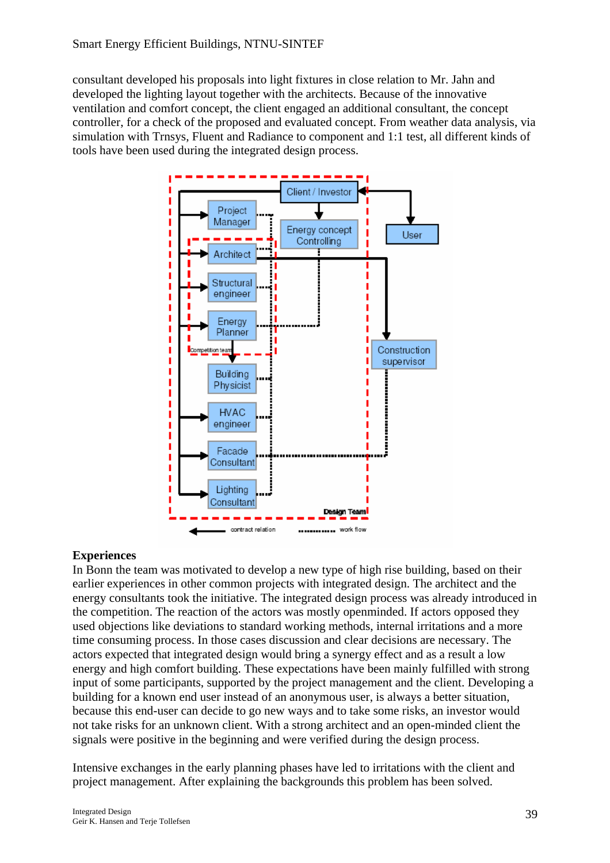consultant developed his proposals into light fixtures in close relation to Mr. Jahn and developed the lighting layout together with the architects. Because of the innovative ventilation and comfort concept, the client engaged an additional consultant, the concept controller, for a check of the proposed and evaluated concept. From weather data analysis, via simulation with Trnsys, Fluent and Radiance to component and 1:1 test, all different kinds of tools have been used during the integrated design process.



#### **Experiences**

In Bonn the team was motivated to develop a new type of high rise building, based on their earlier experiences in other common projects with integrated design. The architect and the energy consultants took the initiative. The integrated design process was already introduced in the competition. The reaction of the actors was mostly openminded. If actors opposed they used objections like deviations to standard working methods, internal irritations and a more time consuming process. In those cases discussion and clear decisions are necessary. The actors expected that integrated design would bring a synergy effect and as a result a low energy and high comfort building. These expectations have been mainly fulfilled with strong input of some participants, supported by the project management and the client. Developing a building for a known end user instead of an anonymous user, is always a better situation, because this end-user can decide to go new ways and to take some risks, an investor would not take risks for an unknown client. With a strong architect and an open-minded client the signals were positive in the beginning and were verified during the design process.

Intensive exchanges in the early planning phases have led to irritations with the client and project management. After explaining the backgrounds this problem has been solved.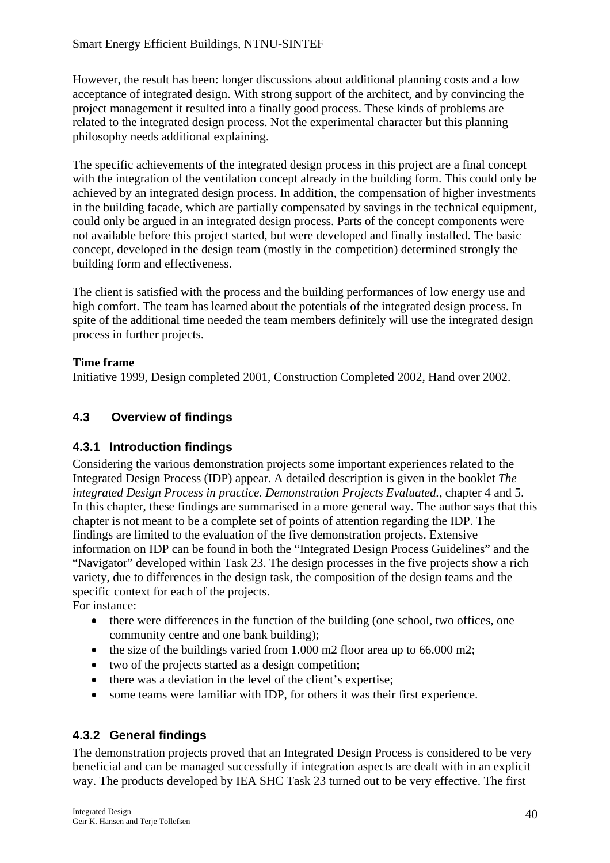However, the result has been: longer discussions about additional planning costs and a low acceptance of integrated design. With strong support of the architect, and by convincing the project management it resulted into a finally good process. These kinds of problems are related to the integrated design process. Not the experimental character but this planning philosophy needs additional explaining.

The specific achievements of the integrated design process in this project are a final concept with the integration of the ventilation concept already in the building form. This could only be achieved by an integrated design process. In addition, the compensation of higher investments in the building facade, which are partially compensated by savings in the technical equipment, could only be argued in an integrated design process. Parts of the concept components were not available before this project started, but were developed and finally installed. The basic concept, developed in the design team (mostly in the competition) determined strongly the building form and effectiveness.

The client is satisfied with the process and the building performances of low energy use and high comfort. The team has learned about the potentials of the integrated design process. In spite of the additional time needed the team members definitely will use the integrated design process in further projects.

#### **Time frame**

Initiative 1999, Design completed 2001, Construction Completed 2002, Hand over 2002.

### **4.3 Overview of findings**

#### **4.3.1 Introduction findings**

Considering the various demonstration projects some important experiences related to the Integrated Design Process (IDP) appear. A detailed description is given in the booklet *The integrated Design Process in practice. Demonstration Projects Evaluated.*, chapter 4 and 5. In this chapter, these findings are summarised in a more general way. The author says that this chapter is not meant to be a complete set of points of attention regarding the IDP. The findings are limited to the evaluation of the five demonstration projects. Extensive information on IDP can be found in both the "Integrated Design Process Guidelines" and the "Navigator" developed within Task 23. The design processes in the five projects show a rich variety, due to differences in the design task, the composition of the design teams and the specific context for each of the projects. For instance:

- there were differences in the function of the building (one school, two offices, one community centre and one bank building);
- the size of the buildings varied from 1.000 m2 floor area up to 66.000 m2;
- two of the projects started as a design competition;
- there was a deviation in the level of the client's expertise;
- some teams were familiar with IDP, for others it was their first experience.

#### **4.3.2 General findings**

The demonstration projects proved that an Integrated Design Process is considered to be very beneficial and can be managed successfully if integration aspects are dealt with in an explicit way. The products developed by IEA SHC Task 23 turned out to be very effective. The first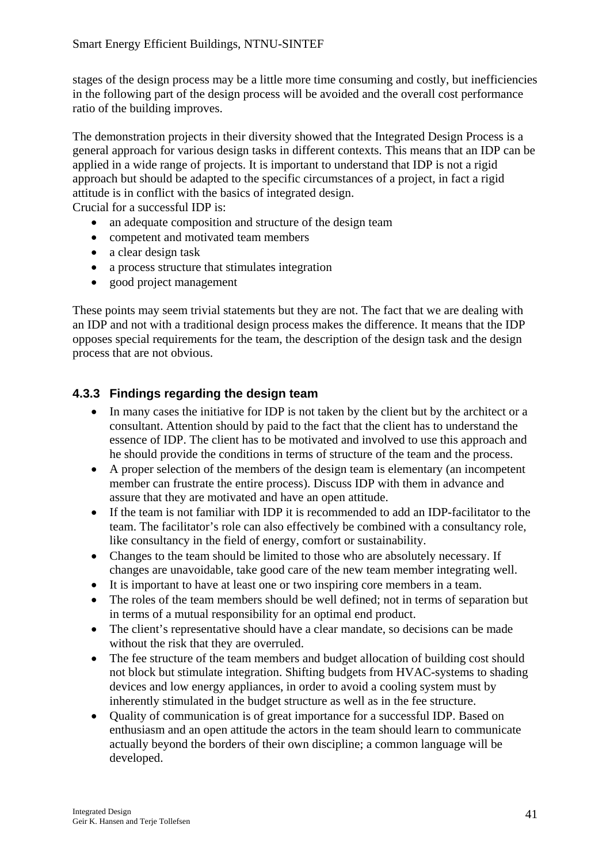stages of the design process may be a little more time consuming and costly, but inefficiencies in the following part of the design process will be avoided and the overall cost performance ratio of the building improves.

The demonstration projects in their diversity showed that the Integrated Design Process is a general approach for various design tasks in different contexts. This means that an IDP can be applied in a wide range of projects. It is important to understand that IDP is not a rigid approach but should be adapted to the specific circumstances of a project, in fact a rigid attitude is in conflict with the basics of integrated design. Crucial for a successful IDP is:

• an adequate composition and structure of the design team

- competent and motivated team members
- a clear design task
- a process structure that stimulates integration
- good project management

These points may seem trivial statements but they are not. The fact that we are dealing with an IDP and not with a traditional design process makes the difference. It means that the IDP opposes special requirements for the team, the description of the design task and the design process that are not obvious.

### **4.3.3 Findings regarding the design team**

- In many cases the initiative for IDP is not taken by the client but by the architect or a consultant. Attention should by paid to the fact that the client has to understand the essence of IDP. The client has to be motivated and involved to use this approach and he should provide the conditions in terms of structure of the team and the process.
- A proper selection of the members of the design team is elementary (an incompetent member can frustrate the entire process). Discuss IDP with them in advance and assure that they are motivated and have an open attitude.
- If the team is not familiar with IDP it is recommended to add an IDP-facilitator to the team. The facilitator's role can also effectively be combined with a consultancy role, like consultancy in the field of energy, comfort or sustainability.
- Changes to the team should be limited to those who are absolutely necessary. If changes are unavoidable, take good care of the new team member integrating well.
- It is important to have at least one or two inspiring core members in a team.
- The roles of the team members should be well defined; not in terms of separation but in terms of a mutual responsibility for an optimal end product.
- The client's representative should have a clear mandate, so decisions can be made without the risk that they are overruled.
- The fee structure of the team members and budget allocation of building cost should not block but stimulate integration. Shifting budgets from HVAC-systems to shading devices and low energy appliances, in order to avoid a cooling system must by inherently stimulated in the budget structure as well as in the fee structure.
- Ouality of communication is of great importance for a successful IDP. Based on enthusiasm and an open attitude the actors in the team should learn to communicate actually beyond the borders of their own discipline; a common language will be developed.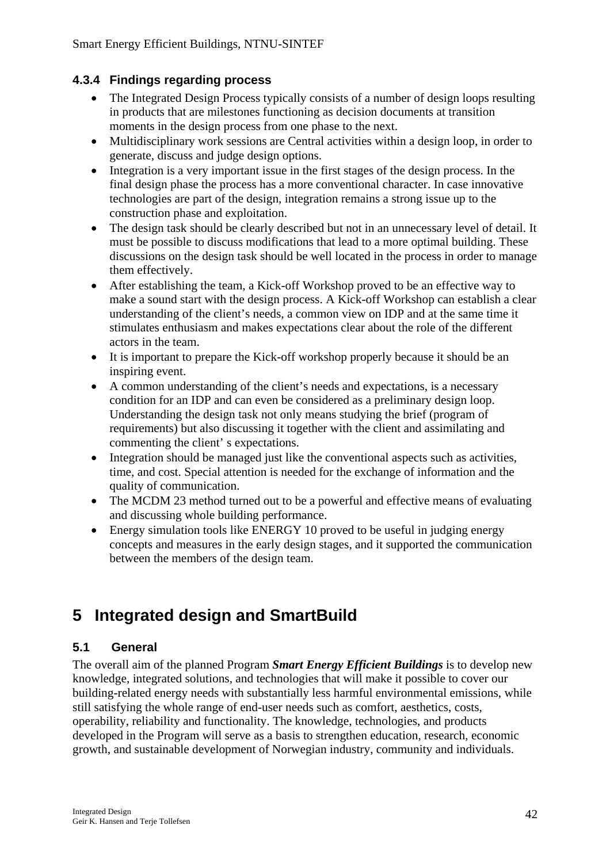#### **4.3.4 Findings regarding process**

- The Integrated Design Process typically consists of a number of design loops resulting in products that are milestones functioning as decision documents at transition moments in the design process from one phase to the next.
- Multidisciplinary work sessions are Central activities within a design loop, in order to generate, discuss and judge design options.
- Integration is a very important issue in the first stages of the design process. In the final design phase the process has a more conventional character. In case innovative technologies are part of the design, integration remains a strong issue up to the construction phase and exploitation.
- The design task should be clearly described but not in an unnecessary level of detail. It must be possible to discuss modifications that lead to a more optimal building. These discussions on the design task should be well located in the process in order to manage them effectively.
- After establishing the team, a Kick-off Workshop proved to be an effective way to make a sound start with the design process. A Kick-off Workshop can establish a clear understanding of the client's needs, a common view on IDP and at the same time it stimulates enthusiasm and makes expectations clear about the role of the different actors in the team.
- It is important to prepare the Kick-off workshop properly because it should be an inspiring event.
- A common understanding of the client's needs and expectations, is a necessary condition for an IDP and can even be considered as a preliminary design loop. Understanding the design task not only means studying the brief (program of requirements) but also discussing it together with the client and assimilating and commenting the client' s expectations.
- Integration should be managed just like the conventional aspects such as activities, time, and cost. Special attention is needed for the exchange of information and the quality of communication.
- The MCDM 23 method turned out to be a powerful and effective means of evaluating and discussing whole building performance.
- Energy simulation tools like ENERGY 10 proved to be useful in judging energy concepts and measures in the early design stages, and it supported the communication between the members of the design team.

# **5 Integrated design and SmartBuild**

#### **5.1 General**

The overall aim of the planned Program *Smart Energy Efficient Buildings* is to develop new knowledge, integrated solutions, and technologies that will make it possible to cover our building-related energy needs with substantially less harmful environmental emissions, while still satisfying the whole range of end-user needs such as comfort, aesthetics, costs, operability, reliability and functionality. The knowledge, technologies, and products developed in the Program will serve as a basis to strengthen education, research, economic growth, and sustainable development of Norwegian industry, community and individuals.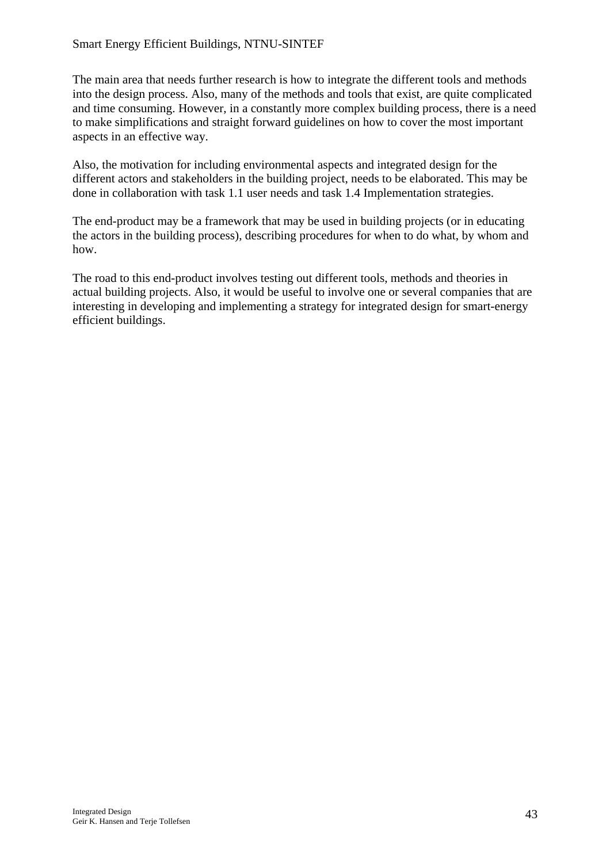The main area that needs further research is how to integrate the different tools and methods into the design process. Also, many of the methods and tools that exist, are quite complicated and time consuming. However, in a constantly more complex building process, there is a need to make simplifications and straight forward guidelines on how to cover the most important aspects in an effective way.

Also, the motivation for including environmental aspects and integrated design for the different actors and stakeholders in the building project, needs to be elaborated. This may be done in collaboration with task 1.1 user needs and task 1.4 Implementation strategies.

The end-product may be a framework that may be used in building projects (or in educating the actors in the building process), describing procedures for when to do what, by whom and how.

The road to this end-product involves testing out different tools, methods and theories in actual building projects. Also, it would be useful to involve one or several companies that are interesting in developing and implementing a strategy for integrated design for smart-energy efficient buildings.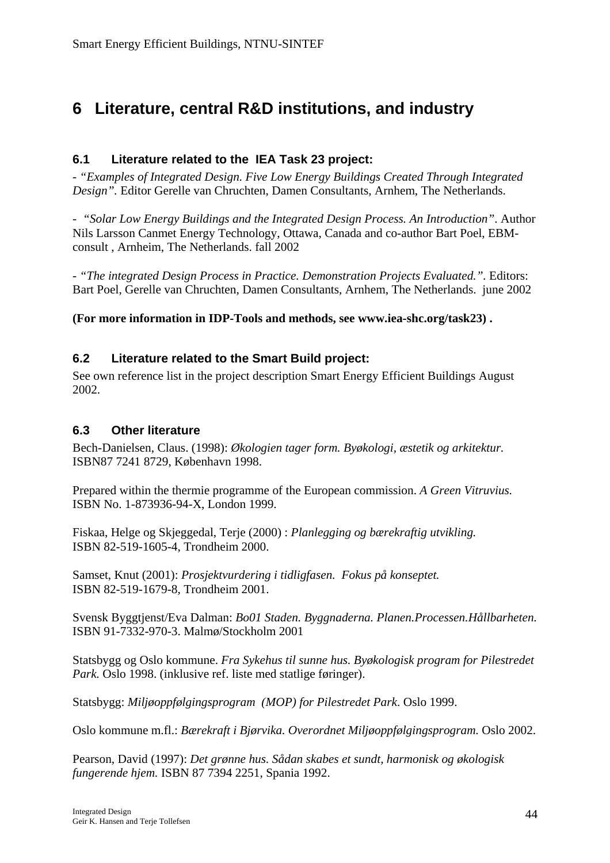# **6 Literature, central R&D institutions, and industry**

#### **6.1 Literature related to the IEA Task 23 project:**

- *"Examples of Integrated Design. Five Low Energy Buildings Created Through Integrated Design".* Editor Gerelle van Chruchten, Damen Consultants, Arnhem, The Netherlands.

- *"Solar Low Energy Buildings and the Integrated Design Process. An Introduction"*. Author Nils Larsson Canmet Energy Technology, Ottawa, Canada and co-author Bart Poel, EBMconsult , Arnheim, The Netherlands. fall 2002

- *"The integrated Design Process in Practice. Demonstration Projects Evaluated.".* Editors: Bart Poel, Gerelle van Chruchten, Damen Consultants, Arnhem, The Netherlands. june 2002

**(For more information in IDP-Tools and methods, see www.iea-shc.org/task23) .** 

#### **6.2 Literature related to the Smart Build project:**

See own reference list in the project description Smart Energy Efficient Buildings August 2002.

#### **6.3 Other literature**

Bech-Danielsen, Claus. (1998): *Økologien tager form. Byøkologi, æstetik og arkitektur.* ISBN87 7241 8729, København 1998.

Prepared within the thermie programme of the European commission. *A Green Vitruvius.* ISBN No. 1-873936-94-X, London 1999.

Fiskaa, Helge og Skjeggedal, Terje (2000) : *Planlegging og bærekraftig utvikling.* ISBN 82-519-1605-4, Trondheim 2000.

Samset, Knut (2001): *Prosjektvurdering i tidligfasen. Fokus på konseptet.* ISBN 82-519-1679-8, Trondheim 2001.

Svensk Byggtjenst/Eva Dalman: *Bo01 Staden. Byggnaderna. Planen.Processen.Hållbarheten.* ISBN 91-7332-970-3. Malmø/Stockholm 2001

Statsbygg og Oslo kommune. *Fra Sykehus til sunne hus. Byøkologisk program for Pilestredet Park.* Oslo 1998. (inklusive ref. liste med statlige føringer).

Statsbygg: *Miljøoppfølgingsprogram (MOP) for Pilestredet Park*. Oslo 1999.

Oslo kommune m.fl.: *Bærekraft i Bjørvika. Overordnet Miljøoppfølgingsprogram.* Oslo 2002.

Pearson, David (1997): *Det grønne hus. Sådan skabes et sundt, harmonisk og økologisk fungerende hjem.* ISBN 87 7394 2251, Spania 1992.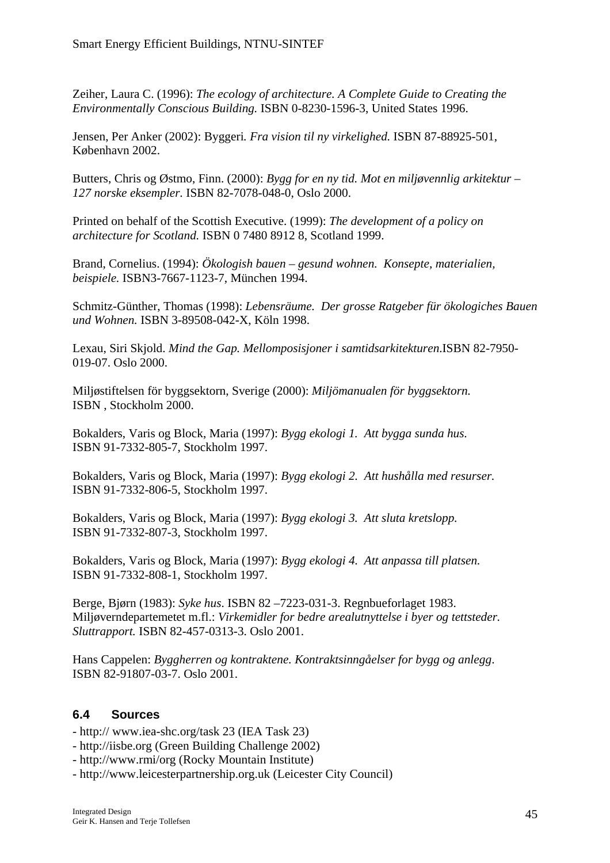Zeiher, Laura C. (1996): *The ecology of architecture. A Complete Guide to Creating the Environmentally Conscious Building.* ISBN 0-8230-1596-3, United States 1996.

Jensen, Per Anker (2002): Byggeri*. Fra vision til ny virkelighed.* ISBN 87-88925-501, København 2002.

Butters, Chris og Østmo, Finn. (2000): *Bygg for en ny tid. Mot en miljøvennlig arkitektur – 127 norske eksempler.* ISBN 82-7078-048-0, Oslo 2000.

Printed on behalf of the Scottish Executive. (1999): *The development of a policy on architecture for Scotland.* ISBN 0 7480 8912 8, Scotland 1999.

Brand, Cornelius. (1994): *Ökologish bauen – gesund wohnen. Konsepte, materialien, beispiele.* ISBN3-7667-1123-7, München 1994.

Schmitz-Günther, Thomas (1998): *Lebensräume. Der grosse Ratgeber für ökologiches Bauen und Wohnen.* ISBN 3-89508-042-X, Köln 1998.

Lexau, Siri Skjold. *Mind the Gap. Mellomposisjoner i samtidsarkitekturen*.ISBN 82-7950- 019-07. Oslo 2000.

Miljøstiftelsen för byggsektorn, Sverige (2000): *Miljömanualen för byggsektorn.* ISBN , Stockholm 2000.

Bokalders, Varis og Block, Maria (1997): *Bygg ekologi 1. Att bygga sunda hus.* ISBN 91-7332-805-7, Stockholm 1997.

Bokalders, Varis og Block, Maria (1997): *Bygg ekologi 2. Att hushålla med resurser.* ISBN 91-7332-806-5, Stockholm 1997.

Bokalders, Varis og Block, Maria (1997): *Bygg ekologi 3. Att sluta kretslopp.* ISBN 91-7332-807-3, Stockholm 1997.

Bokalders, Varis og Block, Maria (1997): *Bygg ekologi 4. Att anpassa till platsen.* ISBN 91-7332-808-1, Stockholm 1997.

Berge, Bjørn (1983): *Syke hus*. ISBN 82 –7223-031-3. Regnbueforlaget 1983. Miljøverndepartemetet m.fl.: *Virkemidler for bedre arealutnyttelse i byer og tettsteder. Sluttrapport.* ISBN 82-457-0313-3. Oslo 2001.

Hans Cappelen: *Byggherren og kontraktene. Kontraktsinngåelser for bygg og anlegg*. ISBN 82-91807-03-7. Oslo 2001.

#### **6.4 Sources**

- http:// [www.iea-shc.org/task 23](http://www.iea-shc.org/task23) (IEA Task 23)
- http://iisbe.org (Green Building Challenge 2002)
- http://www.rmi/org (Rocky Mountain Institute)
- [http://www.leicesterpartnership.org.uk](http://www.leicesterpartnership.org.uk/) (Leicester City Council)